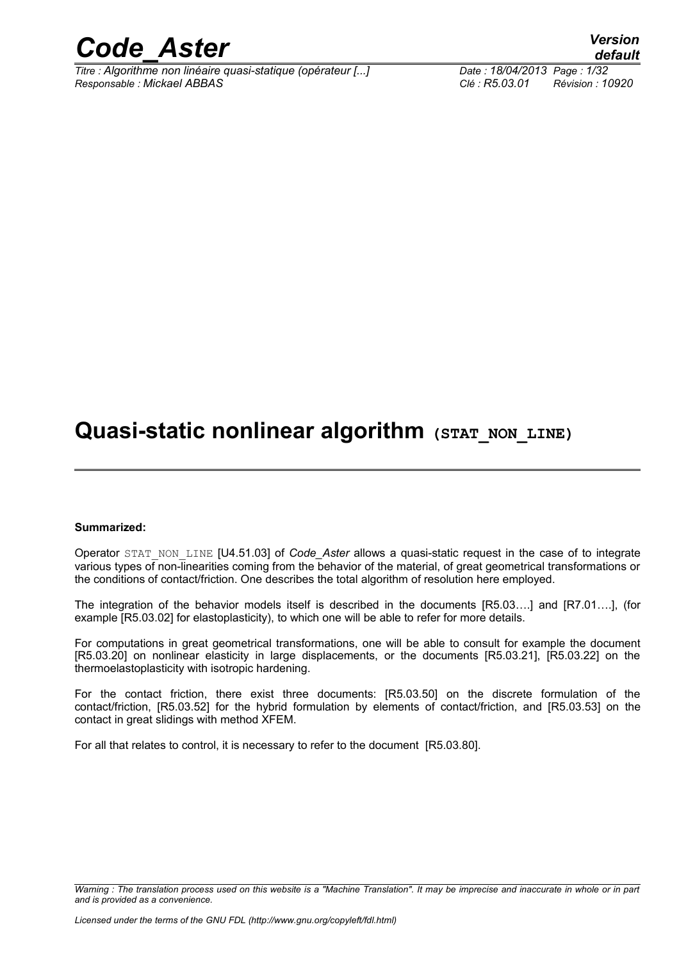

*Titre : Algorithme non linéaire quasi-statique (opérateur [...] Date : 18/04/2013 Page : 1/32 Responsable : Mickael ABBAS Clé : R5.03.01 Révision : 10920*

*default*

## **Quasi-static nonlinear algorithm (STAT\_NON\_LINE)**

#### **Summarized:**

Operator STAT\_NON\_LINE [U4.51.03] of *Code\_Aster* allows a quasi-static request in the case of to integrate various types of non-linearities coming from the behavior of the material, of great geometrical transformations or the conditions of contact/friction. One describes the total algorithm of resolution here employed.

The integration of the behavior models itself is described in the documents [R5.03….] and [R7.01….], (for example [R5.03.02] for elastoplasticity), to which one will be able to refer for more details.

For computations in great geometrical transformations, one will be able to consult for example the document [R5.03.20] on nonlinear elasticity in large displacements, or the documents [R5.03.21], [R5.03.22] on the thermoelastoplasticity with isotropic hardening.

For the contact friction, there exist three documents: [R5.03.50] on the discrete formulation of the contact/friction, [R5.03.52] for the hybrid formulation by elements of contact/friction, and [R5.03.53] on the contact in great slidings with method XFEM.

For all that relates to control, it is necessary to refer to the document [R5.03.80].

*Warning : The translation process used on this website is a "Machine Translation". It may be imprecise and inaccurate in whole or in part and is provided as a convenience.*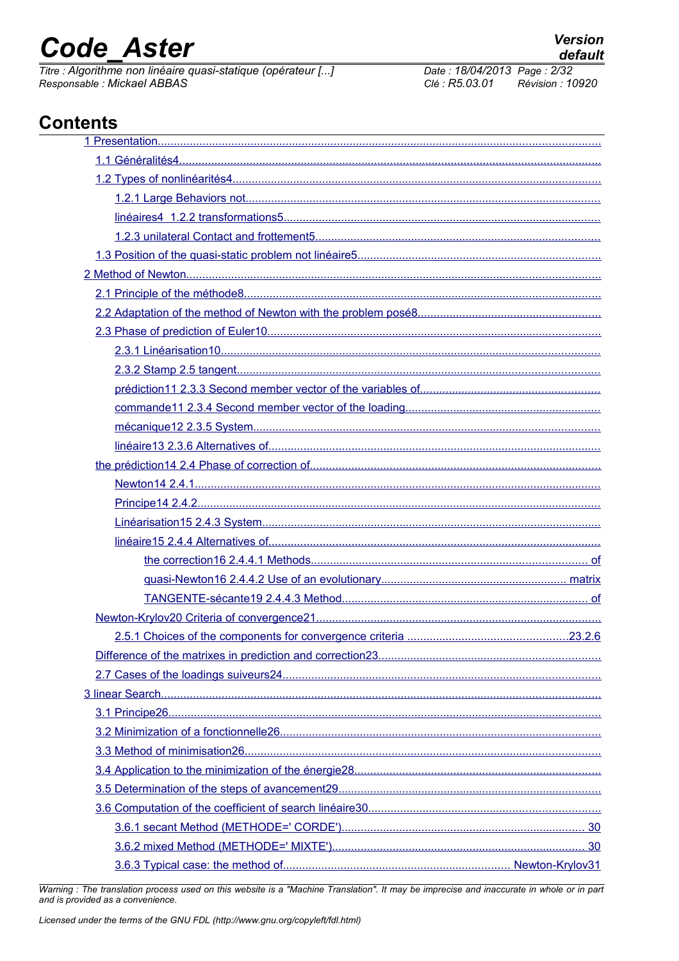## **Code\_Aster**

Titre : Algorithme non linéaire quasi-statique (opérateur [...] Responsable : Mickael ABBAS

**Version** 

### **Contents**

Warning : The translation process used on this website is a "Machine Translation". It may be imprecise and inaccurate in whole or in part and is provided as a convenience.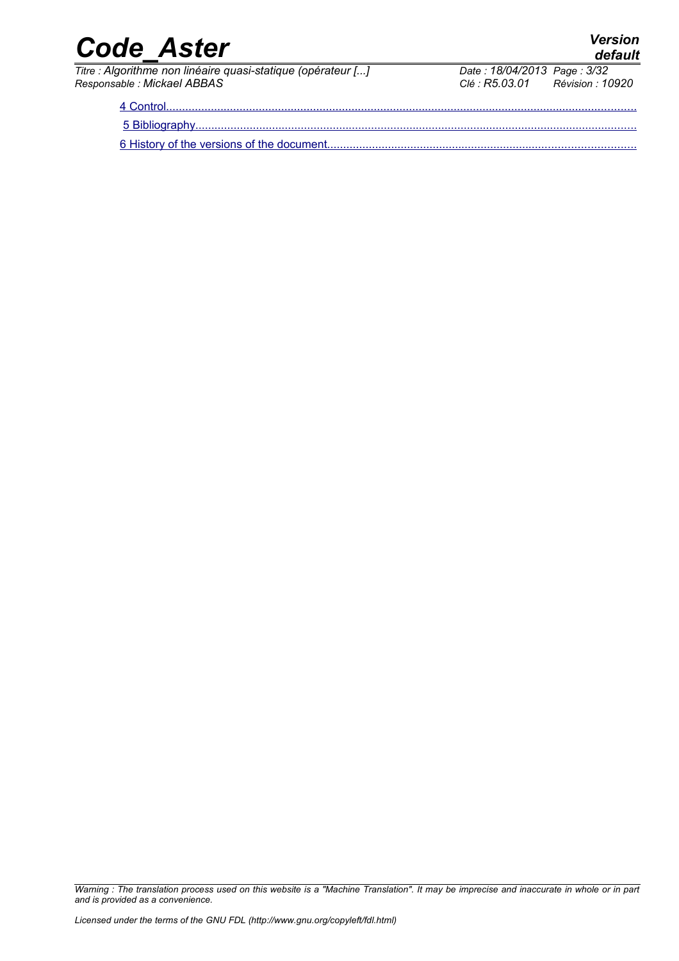*Titre : Algorithme non linéaire quasi-statique (opérateur [...] Date : 18/04/2013 Date : 18/04/2013 Page : 2014 Page : Page : A5.03.01 Responsable : Mickael ABBAS Clé : R5.03.01 Révision : 10920*

 [4 Control ...................................................................................................................................................](#page-30-2)  [5 Bibliography ..........................................................................................................................................](#page-30-1)

6 History of the versions of the document.

*Warning : The translation process used on this website is a "Machine Translation". It may be imprecise and inaccurate in whole or in part and is provided as a convenience.*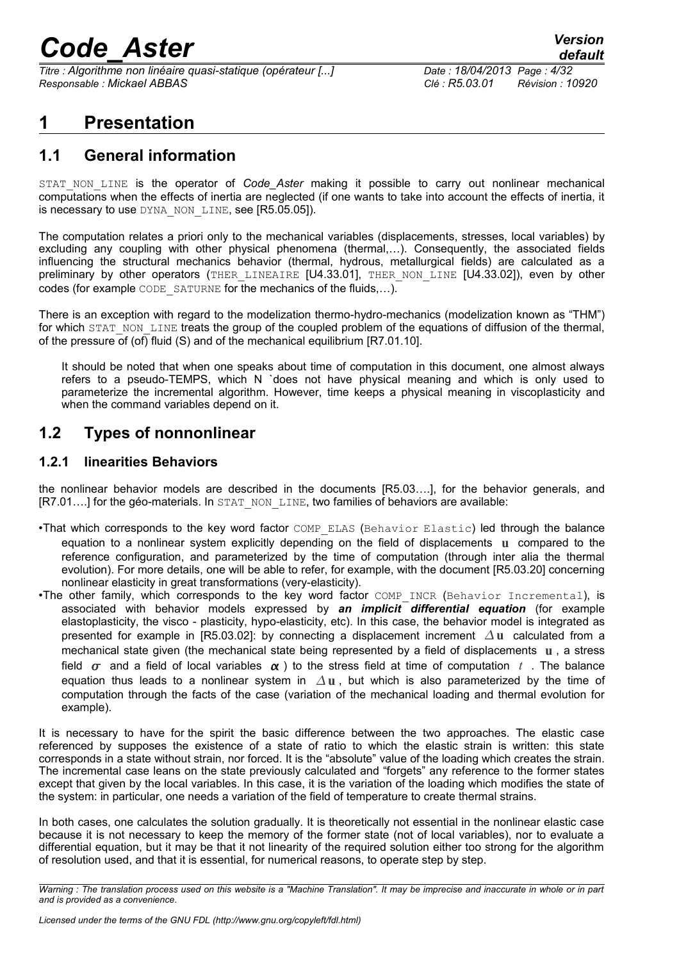*Titre : Algorithme non linéaire quasi-statique (opérateur [...] Date : 18/04/2013 Page : 4/32 Responsable : Mickael ABBAS Clé : R5.03.01 Révision : 10920*

### <span id="page-3-0"></span>**1 Presentation**

### <span id="page-3-3"></span>**1.1 General information**

STAT NON LINE is the operator of *Code\_Aster* making it possible to carry out nonlinear mechanical computations when the effects of inertia are neglected (if one wants to take into account the effects of inertia, it is necessary to use DYNA\_NON\_LINE, see [R5.05.05]).

The computation relates a priori only to the mechanical variables (displacements, stresses, local variables) by excluding any coupling with other physical phenomena (thermal,…). Consequently, the associated fields influencing the structural mechanics behavior (thermal, hydrous, metallurgical fields) are calculated as a preliminary by other operators (THER LINEAIRE [U4.33.01], THER NON LINE [U4.33.02]), even by other codes (for example CODE SATURNE for the mechanics of the fluids....).

There is an exception with regard to the modelization thermo-hydro-mechanics (modelization known as "THM") for which STAT\_NON\_LINE treats the group of the coupled problem of the equations of diffusion of the thermal, of the pressure of (of) fluid (S) and of the mechanical equilibrium [R7.01.10].

It should be noted that when one speaks about time of computation in this document, one almost always refers to a pseudo-TEMPS, which N `does not have physical meaning and which is only used to parameterize the incremental algorithm. However, time keeps a physical meaning in viscoplasticity and when the command variables depend on it.

### <span id="page-3-2"></span>**1.2 Types of nonnonlinear**

#### <span id="page-3-1"></span>**1.2.1 linearities Behaviors**

the nonlinear behavior models are described in the documents [R5.03….], for the behavior generals, and [R7.01...] for the géo-materials. In STAT NON LINE, two families of behaviors are available:

- •That which corresponds to the key word factor COMP ELAS (Behavior Elastic) led through the balance equation to a nonlinear system explicitly depending on the field of displacements **u** compared to the reference configuration, and parameterized by the time of computation (through inter alia the thermal evolution). For more details, one will be able to refer, for example, with the document [R5.03.20] concerning nonlinear elasticity in great transformations (very-elasticity).
- •The other family, which corresponds to the key word factor COMP INCR (Behavior Incremental), is associated with behavior models expressed by *an implicit differential equation* (for example elastoplasticity, the visco - plasticity, hypo-elasticity, etc). In this case, the behavior model is integrated as presented for example in [R5.03.02]: by connecting a displacement increment  $\Delta$ **u** calculated from a mechanical state given (the mechanical state being represented by a field of displacements **u** , a stress field  $\sigma$  and a field of local variables  $\alpha$ ) to the stress field at time of computation  $t$ . The balance equation thus leads to a nonlinear system in  $\Delta u$ , but which is also parameterized by the time of computation through the facts of the case (variation of the mechanical loading and thermal evolution for example).

It is necessary to have for the spirit the basic difference between the two approaches. The elastic case referenced by supposes the existence of a state of ratio to which the elastic strain is written: this state corresponds in a state without strain, nor forced. It is the "absolute" value of the loading which creates the strain. The incremental case leans on the state previously calculated and "forgets" any reference to the former states except that given by the local variables. In this case, it is the variation of the loading which modifies the state of the system: in particular, one needs a variation of the field of temperature to create thermal strains.

In both cases, one calculates the solution gradually. It is theoretically not essential in the nonlinear elastic case because it is not necessary to keep the memory of the former state (not of local variables), nor to evaluate a differential equation, but it may be that it not linearity of the required solution either too strong for the algorithm of resolution used, and that it is essential, for numerical reasons, to operate step by step.

*Warning : The translation process used on this website is a "Machine Translation". It may be imprecise and inaccurate in whole or in part and is provided as a convenience.*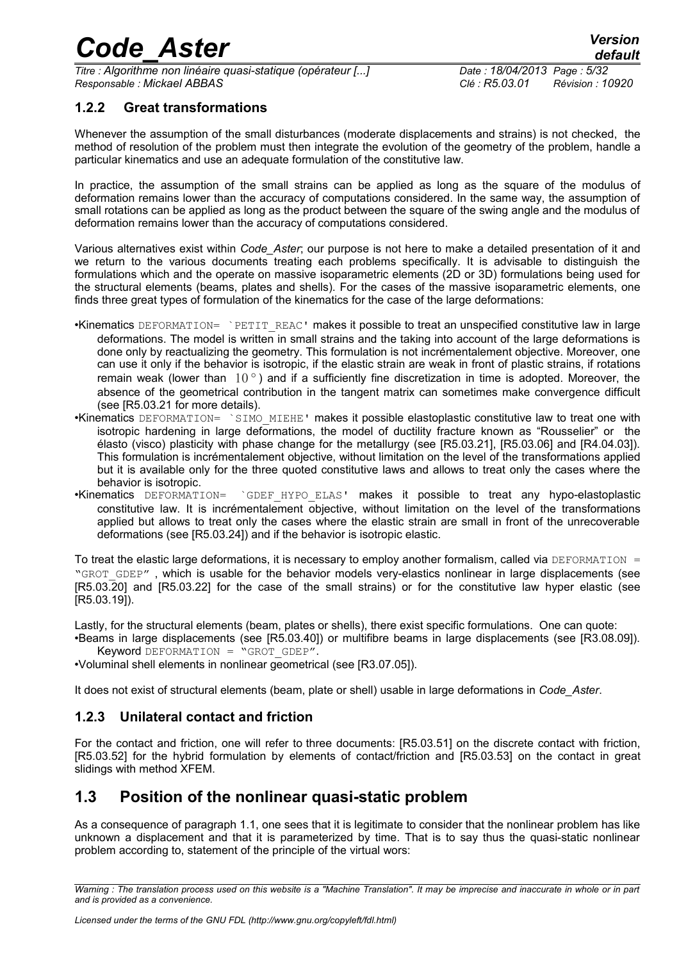*Titre : Algorithme non linéaire quasi-statique (opérateur [...] Date : 18/04/2013 Page : 5/32 Responsable : Mickael ABBAS Clé : R5.03.01 Révision : 10920*

### <span id="page-4-2"></span>**1.2.2 Great transformations**

Whenever the assumption of the small disturbances (moderate displacements and strains) is not checked, the method of resolution of the problem must then integrate the evolution of the geometry of the problem, handle a particular kinematics and use an adequate formulation of the constitutive law.

In practice, the assumption of the small strains can be applied as long as the square of the modulus of deformation remains lower than the accuracy of computations considered. In the same way, the assumption of small rotations can be applied as long as the product between the square of the swing angle and the modulus of deformation remains lower than the accuracy of computations considered.

Various alternatives exist within *Code\_Aster*; our purpose is not here to make a detailed presentation of it and we return to the various documents treating each problems specifically. It is advisable to distinguish the formulations which and the operate on massive isoparametric elements (2D or 3D) formulations being used for the structural elements (beams, plates and shells). For the cases of the massive isoparametric elements, one finds three great types of formulation of the kinematics for the case of the large deformations:

- •Kinematics DEFORMATION= `PETIT\_REAC' makes it possible to treat an unspecified constitutive law in large deformations. The model is written in small strains and the taking into account of the large deformations is done only by reactualizing the geometry. This formulation is not incrémentalement objective. Moreover, one can use it only if the behavior is isotropic, if the elastic strain are weak in front of plastic strains, if rotations remain weak (lower than 10*°* ) and if a sufficiently fine discretization in time is adopted. Moreover, the absence of the geometrical contribution in the tangent matrix can sometimes make convergence difficult (see [R5.03.21 for more details).
- •Kinematics DEFORMATION= `SIMO\_MIEHE' makes it possible elastoplastic constitutive law to treat one with isotropic hardening in large deformations, the model of ductility fracture known as "Rousselier" or the élasto (visco) plasticity with phase change for the metallurgy (see [R5.03.21], [R5.03.06] and [R4.04.03]). This formulation is incrémentalement objective, without limitation on the level of the transformations applied but it is available only for the three quoted constitutive laws and allows to treat only the cases where the
- behavior is isotropic.<br>•Kinematics DEFORMATION= `GDEF HYPO ELAS' makes it possible to treat any hypo-elastoplastic constitutive law. It is incrémentalement objective, without limitation on the level of the transformations applied but allows to treat only the cases where the elastic strain are small in front of the unrecoverable deformations (see [R5.03.24]) and if the behavior is isotropic elastic.

To treat the elastic large deformations, it is necessary to employ another formalism, called via DEFORMATION  $=$ "GROT GDEP", which is usable for the behavior models very-elastics nonlinear in large displacements (see [R5.03.20] and [R5.03.22] for the case of the small strains) or for the constitutive law hyper elastic (see [R5.03.19]).

Lastly, for the structural elements (beam, plates or shells), there exist specific formulations. One can quote: •Beams in large displacements (see [R5.03.40]) or multifibre beams in large displacements (see [R3.08.09]).

Keyword DEFORMATION = "GROT GDEP".

•Voluminal shell elements in nonlinear geometrical (see [R3.07.05]).

It does not exist of structural elements (beam, plate or shell) usable in large deformations in *Code\_Aster*.

#### <span id="page-4-1"></span>**1.2.3 Unilateral contact and friction**

For the contact and friction, one will refer to three documents: [R5.03.51] on the discrete contact with friction, [R5.03.52] for the hybrid formulation by elements of contact/friction and [R5.03.53] on the contact in great slidings with method XFEM.

### <span id="page-4-0"></span>**1.3 Position of the nonlinear quasi-static problem**

As a consequence of paragraph [1.1,](#page-3-3) one sees that it is legitimate to consider that the nonlinear problem has like unknown a displacement and that it is parameterized by time. That is to say thus the quasi-static nonlinear problem according to, statement of the principle of the virtual wors:

*Warning : The translation process used on this website is a "Machine Translation". It may be imprecise and inaccurate in whole or in part and is provided as a convenience.*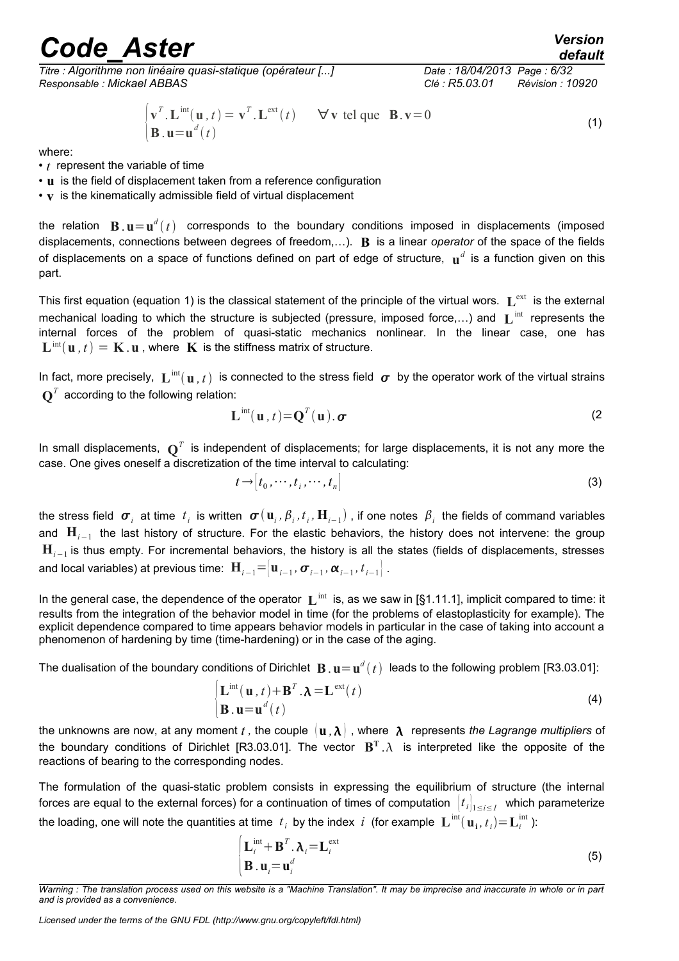| <b>Code Aster</b>                                                                           |                                               | <b>Version</b><br>default |
|---------------------------------------------------------------------------------------------|-----------------------------------------------|---------------------------|
| Titre : Algorithme non linéaire quasi-statique (opérateur []<br>Responsable : Mickael ABBAS | Date: 18/04/2013 Page: 6/32<br>Clé : R5.03.01 | Révision : 10920          |

<span id="page-5-0"></span>
$$
\begin{cases}\n\mathbf{v}^T \cdot \mathbf{L}^{\text{int}}(\mathbf{u}, t) = \mathbf{v}^T \cdot \mathbf{L}^{\text{ext}}(t) & \forall \mathbf{v} \text{ tel que } \mathbf{B} \cdot \mathbf{v} = 0 \\
\mathbf{B} \cdot \mathbf{u} = \mathbf{u}^d(t)\n\end{cases}
$$
\n(1)

where:

- *t* represent the variable of time
- **u** is the field of displacement taken from a reference configuration
- **v** is the kinematically admissible field of virtual displacement

the relation  $\mathbf{B}$   $\mathbf{u} = \mathbf{u}^d(t)$  corresponds to the boundary conditions imposed in displacements (imposed displacements, connections between degrees of freedom,…). **B** is a linear *operator* of the space of the fields of displacements on a space of functions defined on part of edge of structure, **u** *d* is a function given on this part.

This first equation (equation [1\)](#page-5-0) is the classical statement of the principle of the virtual wors.  $L^{\text{ext}}$  is the external mechanical loading to which the structure is subjected (pressure, imposed force,…) and **L** int represents the internal forces of the problem of quasi-static mechanics nonlinear. In the linear case, one has  $\mathbf{L}^{\text{int}}(\mathbf{u},t) = \mathbf{K} \cdot \mathbf{u}$  , where  $\mathbf{K}$  is the stiffness matrix of structure.

In fact, more precisely,  $\bm{L}^{\text{int}}(\bm{u},t)$  is connected to the stress field  $\bm{\sigma}$  by the operator work of the virtual strains  $\mathbf{Q}^T$  according to the following relation:

$$
\mathbf{L}^{\text{int}}(\mathbf{u},t) = \mathbf{Q}^T(\mathbf{u}).\,\boldsymbol{\sigma}
$$
 (2)

In small displacements,  $\mathbf{Q}^T$  is independent of displacements; for large displacements, it is not any more the case. One gives oneself a discretization of the time interval to calculating:

$$
t \rightarrow [t_0, \cdots, t_i, \cdots, t_n]
$$
 (3)

the stress field  $\sigma_i$  at time  $t_i$  is written  $\sigma(\mathbf{u}_i,\beta_i,t_i,\mathbf{H}_{i-1})$  , if one notes  $\beta_i$  the fields of command variables and **H***<sup>i</sup>*−<sup>1</sup> the last history of structure. For the elastic behaviors, the history does not intervene: the group **H***<sup>i</sup>*−<sup>1</sup> is thus empty. For incremental behaviors, the history is all the states (fields of displacements, stresses and local variables) at previous time:  $\textbf{H}_{i-1} \hspace{-0.05cm}=\hspace{-0.05cm} \big\vert \textbf{u}_{i-1}^{} , \boldsymbol{\sigma}_{i-1}^{} , \boldsymbol{\alpha}_{i-1}^{} , t_{i-1}^{} \big\vert$  .

In the general case, the dependence of the operator  $L^{int}$  is, as we saw in [§1.[11.1\]](#page-3-3), implicit compared to time: it results from the integration of the behavior model in time (for the problems of elastoplasticity for example). The explicit dependence compared to time appears behavior models in particular in the case of taking into account a phenomenon of hardening by time (time-hardening) or in the case of the aging.

The dualisation of the boundary conditions of Dirichlet  $\bf{B}$  .  $\bf{u}\!=\!u^d$  (  $t)$  leads to the following problem [R3.03.01]:

$$
\begin{cases}\n\mathbf{L}^{\text{int}}(\mathbf{u},t) + \mathbf{B}^{T} \cdot \mathbf{\lambda} = \mathbf{L}^{\text{ext}}(t) \\
\mathbf{B} \cdot \mathbf{u} = \mathbf{u}^{d}(t)\n\end{cases}
$$
\n(4)

the unknowns are now, at any moment *t*, the couple  $[\mathbf{u}, \lambda]$ , where  $\lambda$  represents the Lagrange multipliers of the boundary conditions of Dirichlet [R3.03.01]. The vector **B T** . is interpreted like the opposite of the reactions of bearing to the corresponding nodes.

The formulation of the quasi-static problem consists in expressing the equilibrium of structure (the internal forces are equal to the external forces) for a continuation of times of computation  $\|t_i\|_{1\leq i\leq I}$  which parameterize the loading, one will note the quantities at time  $t_i$  by the index  $i$  (for example  $\mathbf{L}^{\text{int}}(\mathbf{u_i},t_i)$ = $\mathbf{L}^{\text{int}}_i$ ):

<span id="page-5-1"></span>
$$
\begin{cases}\n\mathbf{L}_i^{\text{int}} + \mathbf{B}^T . \mathbf{\lambda}_i = \mathbf{L}_i^{\text{ext}} \\
\mathbf{B} . \mathbf{u}_i = \mathbf{u}_i^d\n\end{cases}
$$
\n(5)

*Licensed under the terms of the GNU FDL (http://www.gnu.org/copyleft/fdl.html)*

*Warning : The translation process used on this website is a "Machine Translation". It may be imprecise and inaccurate in whole or in part and is provided as a convenience.*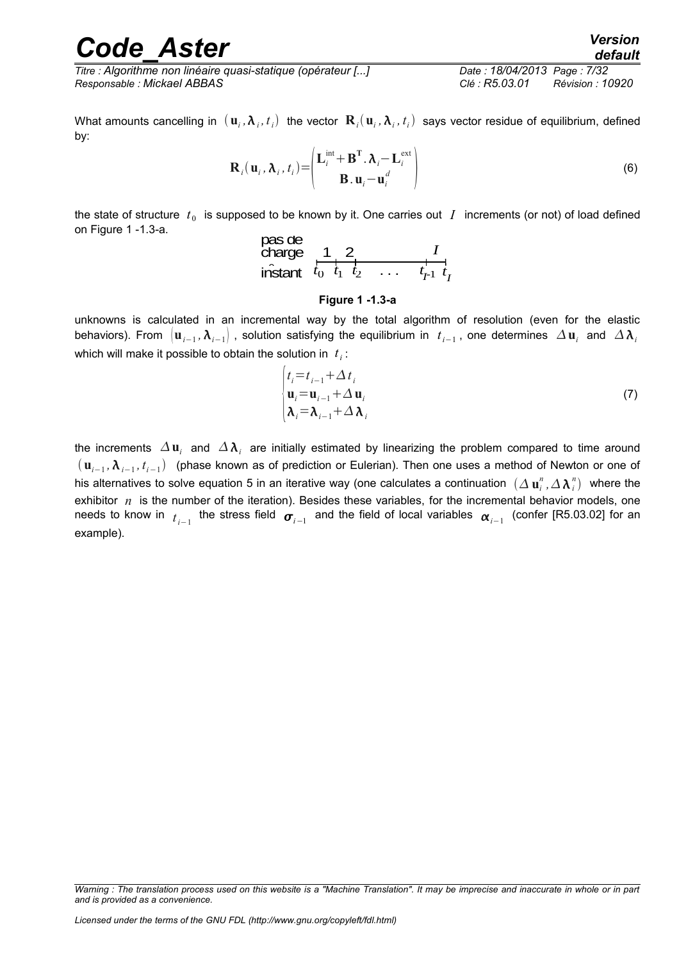*Titre : Algorithme non linéaire quasi-statique (opérateur [...] Date : 18/04/2013 Page : 7/32 Responsable : Mickael ABBAS Clé : R5.03.01 Révision : 10920*

What amounts cancelling in  $(\bf{u}_i, \bf{\lambda}_i, t_i)$  the vector  $\bf{R}_i(\bf{u}_i, \bf{\lambda}_i, t_i)$  says vector residue of equilibrium, defined by:

$$
\mathbf{R}_{i}(\mathbf{u}_{i}, \boldsymbol{\lambda}_{i}, t_{i}) = \begin{pmatrix} \mathbf{L}_{i}^{\text{int}} + \mathbf{B}^{\text{T}} \cdot \boldsymbol{\lambda}_{i} - \mathbf{L}_{i}^{\text{ext}} \\ \mathbf{B} \cdot \mathbf{u}_{i} - \mathbf{u}_{i}^{d} \end{pmatrix}
$$
(6)

the state of structure  $|t_0|$  is supposed to be known by it. One carries out  $|I|$  increments (or not) of load defined on [Figure 1 -1.3-a.](#page-6-0) pas de

$$
\begin{array}{ll}\n\text{base} & 1 & 2 & I \\
\text{charge} & t_0 & t_1 & t_2 & \dots & t_{p-1} & t_p \\
\end{array}
$$

#### <span id="page-6-1"></span><span id="page-6-0"></span>**Figure 1 -1.3-a**

unknowns is calculated in an incremental way by the total algorithm of resolution (even for the elastic behaviors). From  $[\mathbf{u}_{i-1},\pmb{\lambda}_{i-1}]$  , solution satisfying the equilibrium in  $t_{i-1}$  , one determines  $\varDelta\mathbf{u}_i$  and  $\varDelta\pmb{\lambda}_i$ which will make it possible to obtain the solution in  $|t_i\rangle$ 

$$
\begin{cases}\n t_i = t_{i-1} + \Delta t_i \\
 \mathbf{u}_i = \mathbf{u}_{i-1} + \Delta \mathbf{u}_i \\
 \lambda_i = \lambda_{i-1} + \Delta \lambda_i\n\end{cases}
$$
\n(7)

the increments  $\varDelta\,\mathbf{u}_i$  and  $\varDelta\,\pmb{\lambda}_i$  are initially estimated by linearizing the problem compared to time around **u***<sup>i</sup>*−<sup>1</sup> *,<sup>i</sup>*−<sup>1</sup> *,t i*−1 (phase known as of prediction or Eulerian). Then one uses a method of Newton or one of his alternatives to solve equation [5](#page-5-1) in an iterative way (one calculates a continuation  $(\varDelta\,\mathbf{u}_i^n,\varDelta\,\pmb{\lambda}_i^n)$  where the exhibitor *n* is the number of the iteration). Besides these variables, for the incremental behavior models, one needs to know in  $_{t_{i-1}}$  the stress field  $\sigma_{_{i-1}}$  and the field of local variables  $\alpha_{_{i-1}}$  (confer [R5.03.02] for an example).

*Warning : The translation process used on this website is a "Machine Translation". It may be imprecise and inaccurate in whole or in part and is provided as a convenience.*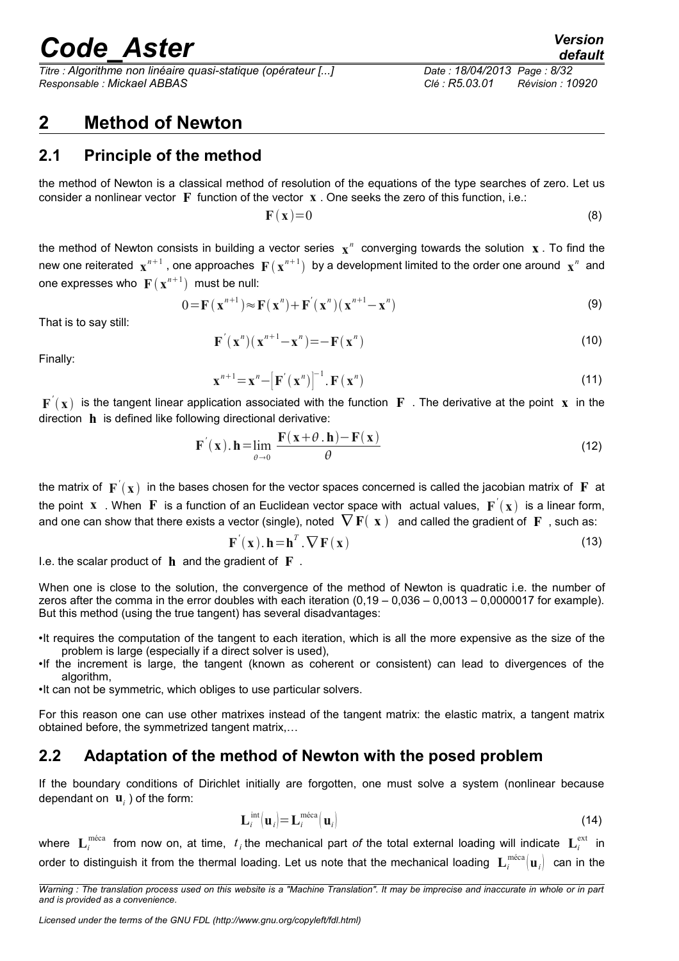*Titre : Algorithme non linéaire quasi-statique (opérateur [...] Date : 18/04/2013 Page : 8/32 Responsable : Mickael ABBAS Clé : R5.03.01 Révision : 10920*

### <span id="page-7-2"></span>**2 Method of Newton**

### <span id="page-7-1"></span>**2.1 Principle of the method**

the method of Newton is a classical method of resolution of the equations of the type searches of zero. Let us consider a nonlinear vector **F** function of the vector **x** . One seeks the zero of this function, i.e.:

$$
\mathbf{F}(\mathbf{x}) = 0 \tag{8}
$$

the method of Newton consists in building a vector series **x** *n* converging towards the solution **x** . To find the new one reiterated  $\mathbf{x}^{n+1}$  , one approaches  $\mathbf{F}(\mathbf{x}^{n+1})$  by a development limited to the order one around  $\mathbf{x}^n$  and one expresses who  $\mathbf{F}(\mathbf{x}^{n+1})$  must be null:

$$
0 = \mathbf{F}(\mathbf{x}^{n+1}) \approx \mathbf{F}(\mathbf{x}^n) + \mathbf{F}'(\mathbf{x}^n) (\mathbf{x}^{n+1} - \mathbf{x}^n)
$$
\n(9)

That is to say still:

$$
\mathbf{F}'(\mathbf{x}^n)(\mathbf{x}^{n+1}-\mathbf{x}^n) = -\mathbf{F}(\mathbf{x}^n)
$$
 (10)

Finally:

$$
\mathbf{x}^{n+1} = \mathbf{x}^n - \left[ \mathbf{F}'(\mathbf{x}^n) \right]^{-1} . \mathbf{F}(\mathbf{x}^n)
$$
 (11)

**F** *'* **x** is the tangent linear application associated with the function **F** . The derivative at the point **x** in the direction **h** is defined like following directional derivative:

$$
\mathbf{F}'(\mathbf{x}).\mathbf{h} = \lim_{\theta \to 0} \frac{\mathbf{F}(\mathbf{x} + \theta . \mathbf{h}) - \mathbf{F}(\mathbf{x})}{\theta}
$$
(12)

the matrix of  $\mathbf{F}^{'}(\mathbf{x})$  in the bases chosen for the vector spaces concerned is called the jacobian matrix of  $\mathbf{F}$  at the point  $x$  . When  $F$  is a function of an Euclidean vector space with actual values,  $F'(x)$  is a linear form, and one can show that there exists a vector (single), noted  $\nabla \mathbf{F}(\mathbf{x})$  and called the gradient of **F**, such as:

$$
\mathbf{F}'(\mathbf{x}).\mathbf{h} = \mathbf{h}^T . \nabla \mathbf{F}(\mathbf{x})
$$
 (13)

I.e. the scalar product of **h** and the gradient of **F** .

When one is close to the solution, the convergence of the method of Newton is quadratic i.e. the number of zeros after the comma in the error doubles with each iteration  $(0.19 - 0.036 - 0.0013 - 0.0000017$  for example). But this method (using the true tangent) has several disadvantages:

•It requires the computation of the tangent to each iteration, which is all the more expensive as the size of the problem is large (especially if a direct solver is used),

•If the increment is large, the tangent (known as coherent or consistent) can lead to divergences of the algorithm,

•It can not be symmetric, which obliges to use particular solvers.

For this reason one can use other matrixes instead of the tangent matrix: the elastic matrix, a tangent matrix obtained before, the symmetrized tangent matrix,…

### <span id="page-7-0"></span>**2.2 Adaptation of the method of Newton with the posed problem**

If the boundary conditions of Dirichlet initially are forgotten, one must solve a system (nonlinear because dependant on **u***<sup>i</sup>* ) of the form:

<span id="page-7-3"></span>
$$
\mathbf{L}_i^{\text{int}}(\mathbf{u}_i) = \mathbf{L}_i^{\text{méca}}(\mathbf{u}_i) \tag{14}
$$

where  $L_i^{\text{méca}}$  from now on, at time,  $t_i$  the mechanical part of the total external loading will indicate  $L_i^{\text{ext}}$  in order to distinguish it from the thermal loading. Let us note that the mechanical loading  $\textbf{L}_i^{\text{meca}}(\textbf{u}_i)$  can in the

*Warning : The translation process used on this website is a "Machine Translation". It may be imprecise and inaccurate in whole or in part and is provided as a convenience.*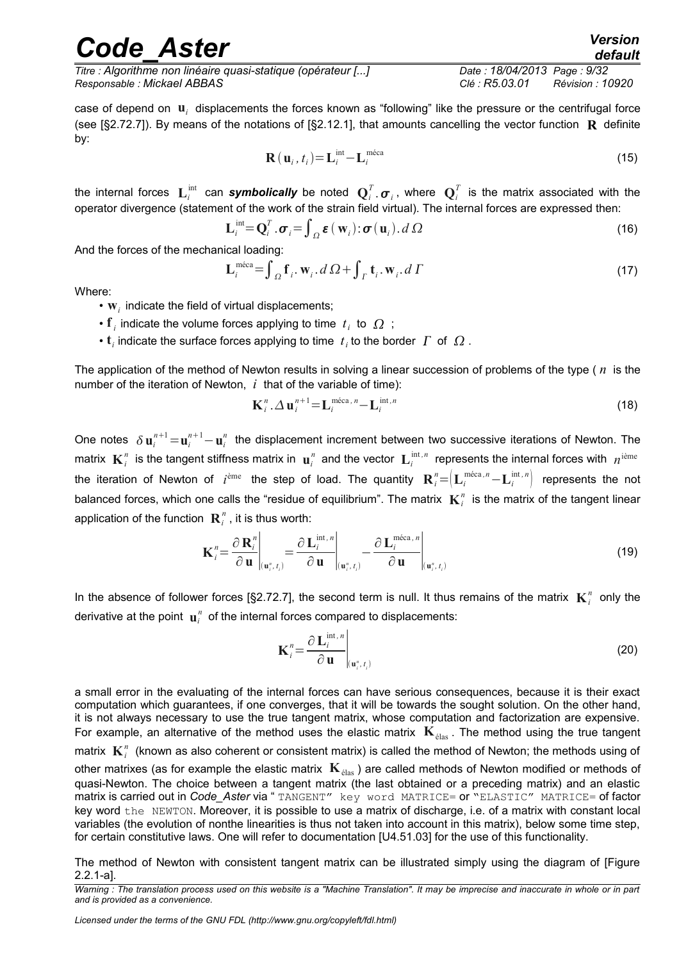*Titre : Algorithme non linéaire quasi-statique (opérateur [...] Date : 18/04/2013 Page : 9/32 Responsable : Mickael ABBAS Clé : R5.03.01 Révision : 10920*

case of depend on **u***<sup>i</sup>* displacements the forces known as "following" like the pressure or the centrifugal force (see [§2.[72.7\]](#page-23-0)). By means of the notations of [§2.[12.1\]](#page-7-1), that amounts cancelling the vector function **R** definite by:

$$
\mathbf{R}\left(\mathbf{u}_{i},t_{i}\right)=\mathbf{L}_{i}^{\text{int}}-\mathbf{L}_{i}^{\text{méca}}\tag{15}
$$

the internal forces  $\mathbf{L}_i^\text{int}$  can symbolically be noted  $\mathbf{Q}_i^T.\bm{\sigma}_i$ , where  $\mathbf{Q}_i^T$  is the matrix associated with the operator divergence (statement of the work of the strain field virtual). The internal forces are expressed then:

$$
\mathbf{L}_{i}^{\text{int}} = \mathbf{Q}_{i}^{T} \cdot \boldsymbol{\sigma}_{i} = \int_{\Omega} \boldsymbol{\varepsilon} \left( \mathbf{w}_{i} \right) : \boldsymbol{\sigma} \left( \mathbf{u}_{i} \right) \cdot d \Omega \tag{16}
$$

And the forces of the mechanical loading:

$$
\mathbf{L}_{i}^{\text{méca}} = \int_{\Omega} \mathbf{f}_{i} \cdot \mathbf{w}_{i} \cdot d\Omega + \int_{\Gamma} \mathbf{t}_{i} \cdot \mathbf{w}_{i} \cdot d\Gamma
$$
 (17)

Where:

- **w***<sup>i</sup>* indicate the field of virtual displacements;
- $\mathbf{f}_i$  indicate the volume forces applying to time  $|t_i|$  to  $|\Omega|$ ;
- $\mathbf{t}_i$  indicate the surface forces applying to time  $|t_i|$  to the border  $|\mathcal{I}|$  of  $|\Omega|$ .

The application of the method of Newton results in solving a linear succession of problems of the type ( *n* is the number of the iteration of Newton, *i* that of the variable of time):

$$
\mathbf{K}_{i}^{n} \cdot \Delta \mathbf{u}_{i}^{n+1} = \mathbf{L}_{i}^{\text{méca}, n} - \mathbf{L}_{i}^{\text{int}, n}
$$
\n(18)

One notes  $\delta\mathbf{u}_i^{n+1} = \mathbf{u}_i^{n+1} - \mathbf{u}_i^n$  the displacement increment between two successive iterations of Newton. The matrix  $K_i^n$  is the tangent stiffness matrix in  $\mathbf{u}_i^n$  and the vector  $\mathbf{L}_i^{\text{int},n}$  represents the internal forces with  $n^{\text{ieme}}$ the iteration of Newton of  $i^{$ ème the step of load. The quantity  $\mathbf{R}_i^n{=} \left(\mathbf{L}_i^{\text{méca},n} {-} \mathbf{L}_i^{\text{int},n}\right)$  represents the not balanced forces, which one calls the "residue of equilibrium". The matrix  $\|\mathbf{K}_i^n\|$  is the matrix of the tangent linear application of the function  $\mathbf{R}^n_i$  , it is thus worth:

$$
\mathbf{K}_{i}^{n} = \frac{\partial \mathbf{R}_{i}^{n}}{\partial \mathbf{u}}\Big|_{(\mathbf{u}_{i}^{n}, t_{i})} = \frac{\partial \mathbf{L}_{i}^{\text{int}, n}}{\partial \mathbf{u}}\Big|_{(\mathbf{u}_{i}^{n}, t_{i})} - \frac{\partial \mathbf{L}_{i}^{\text{méca}, n}}{\partial \mathbf{u}}\Big|_{(\mathbf{u}_{i}^{n}, t_{i})}
$$
(19)

In the absence of follower forces [§2.[72.7\]](#page-23-0), the second term is null. It thus remains of the matrix  $K_i^n$  only the derivative at the point  $\mathbf{u}_i^n$  of the internal forces compared to displacements:

$$
\mathbf{K}_{i}^{n} = \frac{\partial \mathbf{L}_{i}^{\text{int}, n}}{\partial \mathbf{u}} \bigg|_{(\mathbf{u}_{i}^{n}, t_{i})}
$$
(20)

a small error in the evaluating of the internal forces can have serious consequences, because it is their exact computation which guarantees, if one converges, that it will be towards the sought solution. On the other hand, it is not always necessary to use the true tangent matrix, whose computation and factorization are expensive. For example, an alternative of the method uses the elastic matrix  $\mathbf{K}_{\text{elas}}$ . The method using the true tangent matrix  $\,{\bf K}_i^{\,n}\,$  (known as also coherent or consistent matrix) is called the method of Newton; the methods using of other matrixes (as for example the elastic matrix  $\mathbf{K}_{\text{elas}}$ ) are called methods of Newton modified or methods of quasi-Newton. The choice between a tangent matrix (the last obtained or a preceding matrix) and an elastic matrix is carried out in *Code\_Aster* via " TANGENT" key word MATRICE= or "ELASTIC" MATRICE= of factor key word the NEWTON. Moreover, it is possible to use a matrix of discharge, i.e. of a matrix with constant local variables (the evolution of nonthe linearities is thus not taken into account in this matrix), below some time step, for certain constitutive laws. One will refer to documentation [U4.51.03] for the use of this functionality.

The method of Newton with consistent tangent matrix can be illustrated simply using the diagram of [Figure 2.2.1-a].

*Warning : The translation process used on this website is a "Machine Translation". It may be imprecise and inaccurate in whole or in part and is provided as a convenience.*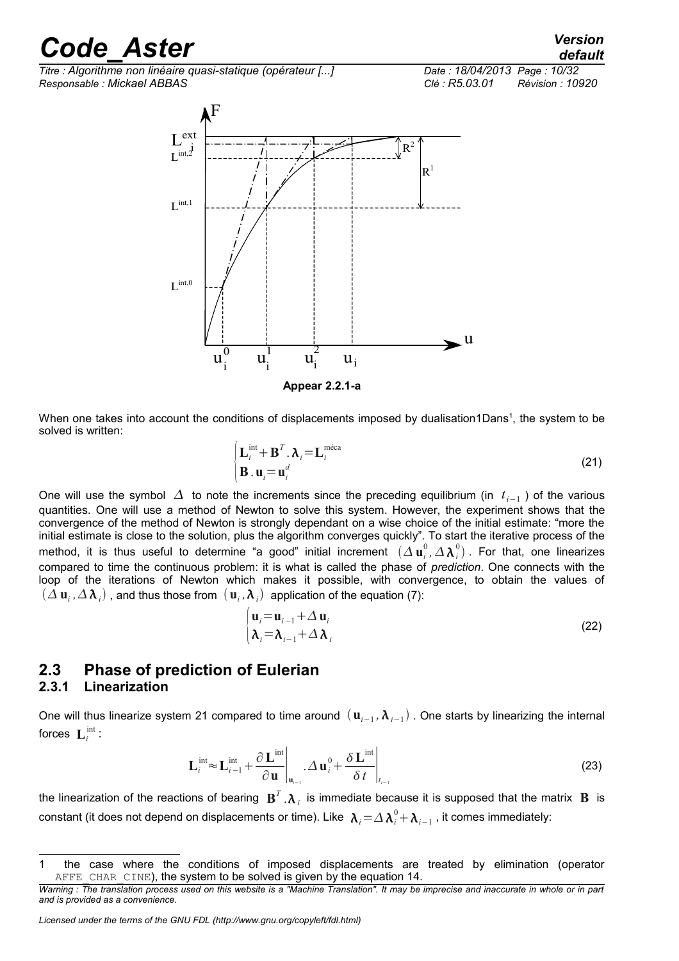*Titre : Algorithme non linéaire quasi-statique (opérateur [...] Date : 18/04/2013 Page : 10/32 Responsable : Mickael ABBAS Clé : R5.03.01 Révision : 10920*



<span id="page-9-2"></span>**Appear 2.2.1-a**

<span id="page-9-5"></span>When one takes into account the conditions of displacements imposed by dualisation[1](#page-9-3)Dans<sup>1</sup>, the system to be solved is written:

$$
\begin{cases}\n\mathbf{L}_i^{\text{int}} + \mathbf{B}^T \cdot \mathbf{\lambda}_i = \mathbf{L}_i^{\text{méca}} \\
\mathbf{B} \cdot \mathbf{u}_i = \mathbf{u}_i^d\n\end{cases}
$$
\n(21)

One will use the symbol  $\Delta$  to note the increments since the preceding equilibrium (in  $t_{i-1}$ ) of the various quantities. One will use a method of Newton to solve this system. However, the experiment shows that the convergence of the method of Newton is strongly dependant on a wise choice of the initial estimate: "more the initial estimate is close to the solution, plus the algorithm converges quickly". To start the iterative process of the method, it is thus useful to determine "a good" initial increment  $(\varDelta\,\mathbf{u}_i^0,\varDelta\,\pmb{\lambda}_i^0)$  . For that, one linearizes compared to time the continuous problem: it is what is called the phase of *prediction*. One connects with the loop of the iterations of Newton which makes it possible, with convergence, to obtain the values of  $(\varDelta \, \mathbf{u}_i^{}, \varDelta \, \pmb{\lambda}_i^{})$  , and thus those from  $(\, \mathbf{u}_i^{}, \pmb{\lambda}_i^{})\,$  application of the equation [\(7\)](#page-6-1):

<span id="page-9-4"></span>
$$
\begin{cases} \mathbf{u}_i = \mathbf{u}_{i-1} + \Delta \mathbf{u}_i \\ \lambda_i = \lambda_{i-1} + \Delta \lambda_i \end{cases}
$$
 (22)

### <span id="page-9-1"></span><span id="page-9-0"></span>**2.3 Phase of prediction of Eulerian 2.3.1 Linearization**

One will thus linearize system [21](#page-9-2) compared to time around  $(\mathbf{u}_{i-1},\lambda_{i-1})$  . One starts by linearizing the internal forces  $\mathbf{L}_i^{\text{int}}$ :

$$
\mathbf{L}_{i}^{\text{int}} \approx \mathbf{L}_{i-1}^{\text{int}} + \frac{\partial \mathbf{L}^{\text{int}}}{\partial \mathbf{u}} \bigg|_{\mathbf{u}_{i-1}} \cdot \Delta \mathbf{u}_{i}^{0} + \frac{\delta \mathbf{L}^{\text{int}}}{\delta t} \bigg|_{t_{i-1}}
$$
(23)

the linearization of the reactions of bearing  $B^T$  . $\lambda_i$  is immediate because it is supposed that the matrix  $|B|$  is constant (it does not depend on displacements or time). Like  $\,\bm{\lambda}_i\!=\!\Delta\,\bm{\lambda}_i^0\!+\!\bm{\lambda}_{i-1}$  , it comes immediately:

<span id="page-9-3"></span><sup>1</sup> the case where the conditions of imposed displacements are treated by elimination (operator AFFE CHAR CINE), the system to be solved is given by the equation [14.](#page-7-3)

*Warning : The translation process used on this website is a "Machine Translation". It may be imprecise and inaccurate in whole or in part and is provided as a convenience.*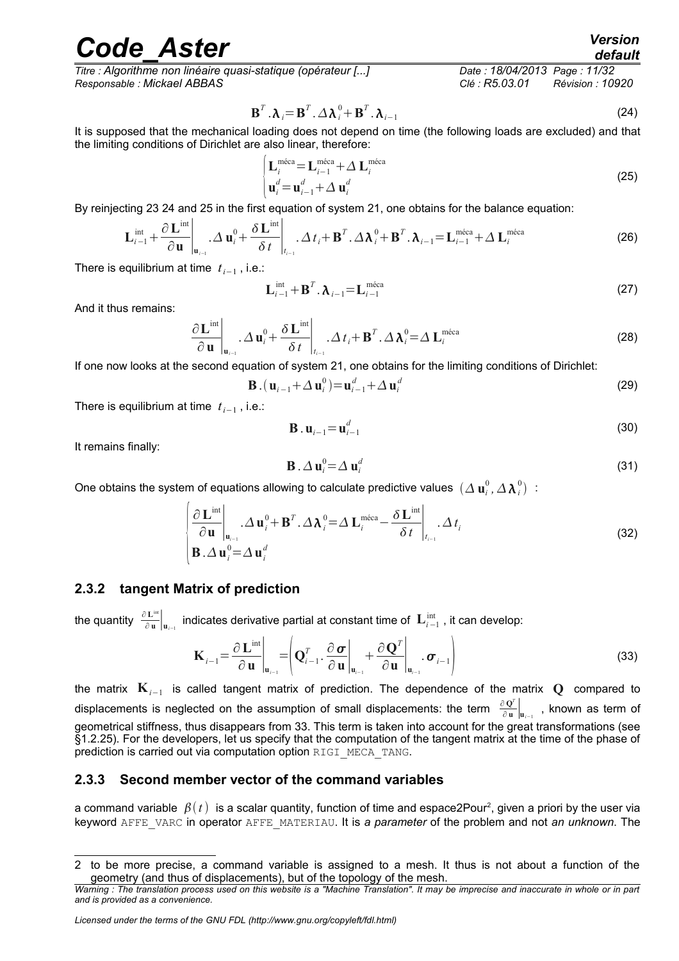*Titre : Algorithme non linéaire quasi-statique (opérateur [...] Date : 18/04/2013 Page : 11/32 Responsable : Mickael ABBAS Clé : R5.03.01 Révision : 10920*

$$
\mathbf{B}^T \cdot \mathbf{\lambda}_i = \mathbf{B}^T \cdot \Delta \mathbf{\lambda}_i^0 + \mathbf{B}^T \cdot \mathbf{\lambda}_{i-1}
$$
 (24)

It is supposed that the mechanical loading does not depend on time (the following loads are excluded) and that the limiting conditions of Dirichlet are also linear, therefore:

$$
\begin{cases}\n\mathbf{L}_i^{\text{méca}} = \mathbf{L}_{i-1}^{\text{méca}} + \Delta \mathbf{L}_i^{\text{méca}} \\
\mathbf{u}_i^d = \mathbf{u}_{i-1}^d + \Delta \mathbf{u}_i^d\n\end{cases}
$$
\n(25)

By reinjecting [23](#page-9-4) [24](#page-10-4) and [25](#page-10-3) in the first equation of system [21,](#page-9-2) one obtains for the balance equation:

$$
\mathbf{L}_{i-1}^{\text{int}} + \frac{\partial \mathbf{L}^{\text{int}}}{\partial \mathbf{u}} \bigg|_{\mathbf{u}_{i-1}} \Delta \mathbf{u}_{i}^{0} + \frac{\partial \mathbf{L}^{\text{int}}}{\partial t} \bigg|_{t_{i-1}} \Delta t_{i} + \mathbf{B}^{T} \Delta \lambda_{i}^{0} + \mathbf{B}^{T} \Delta t_{i-1} = \mathbf{L}_{i-1}^{\text{méca}} + \Delta \mathbf{L}_{i}^{\text{méca}}
$$
(26)

There is equilibrium at time *t<sup>i</sup>*−<sup>1</sup> , i.e.:

$$
\mathbf{L}_{i-1}^{\text{int}} + \mathbf{B}^T \cdot \boldsymbol{\lambda}_{i-1} = \mathbf{L}_{i-1}^{\text{méca}}
$$
 (27)

And it thus remains:

$$
\frac{\partial \mathbf{L}^{\text{int}}}{\partial \mathbf{u}} \bigg|_{\mathbf{u}_{i-1}} \Delta \mathbf{u}_{i}^{0} + \frac{\partial \mathbf{L}^{\text{int}}}{\partial t} \bigg|_{t_{i-1}} \Delta t_{i} + \mathbf{B}^{T} \Delta \lambda_{i}^{0} = \Delta \mathbf{L}_{i}^{\text{méca}}
$$
\n(28)

If one now looks at the second equation of system [21,](#page-9-2) one obtains for the limiting conditions of Dirichlet:

$$
\mathbf{B} \cdot (\mathbf{u}_{i-1} + \Delta \mathbf{u}_i^0) = \mathbf{u}_{i-1}^d + \Delta \mathbf{u}_i^d
$$
 (29)

There is equilibrium at time *t i*−1 , i.e.:

$$
\mathbf{B} \cdot \mathbf{u}_{i-1} = \mathbf{u}_{i-1}^d \tag{30}
$$

It remains finally:

<span id="page-10-6"></span><span id="page-10-2"></span>
$$
\mathbf{B} \cdot \Delta \mathbf{u}_i^0 = \Delta \mathbf{u}_i^d \tag{31}
$$

One obtains the system of equations allowing to calculate predictive values  $\;(\varDelta\,{\bf u}^0_i,\varDelta\,\pmb{\lambda}^{\,0}_i)\;$  :

$$
\begin{vmatrix}\n\frac{\partial \mathbf{L}^{\text{int}}}{\partial \mathbf{u}}\Big|_{\mathbf{u}_{i-1}} \Delta \mathbf{u}_{i}^{0} + \mathbf{B}^{T} \cdot \Delta \lambda_{i}^{0} = \Delta \mathbf{L}_{i}^{\text{méca}} - \frac{\delta \mathbf{L}^{\text{int}}}{\delta t}\Big|_{t_{i-1}} \Delta t_{i} \\
\mathbf{B} \cdot \Delta \mathbf{u}_{i}^{0} = \Delta \mathbf{u}_{i}^{d}\n\end{vmatrix} \tag{32}
$$

#### <span id="page-10-1"></span>**2.3.2 tangent Matrix of prediction**

the quantity  $\frac{\partial \bf{L}^{in}}{\partial \bf{u}}\Big|_{\bf{u}_{i-1}}$  indicates derivative partial at constant time of  $\bf{L}^{in}_{i-1}$  , it can develop:

$$
\mathbf{K}_{i-1} = \frac{\partial \mathbf{L}^{\text{int}}}{\partial \mathbf{u}} \bigg|_{\mathbf{u}_{i-1}} = \left( \mathbf{Q}_{i-1}^T \cdot \frac{\partial \mathbf{\sigma}}{\partial \mathbf{u}} \bigg|_{\mathbf{u}_{i-1}} + \frac{\partial \mathbf{Q}^T}{\partial \mathbf{u}} \bigg|_{\mathbf{u}_{i-1}} \cdot \mathbf{\sigma}_{i-1} \right)
$$
(33)

the matrix **K***<sup>i</sup>*−<sup>1</sup> is called tangent matrix of prediction. The dependence of the matrix **Q** compared to displacements is neglected on the assumption of small displacements: the term  $\frac{\partial Q^T}{\partial u}\Big|_{u_{i-1}}$  , known as term of geometrical stiffness, thus disappears from [33.](#page-10-2) This term is taken into account for the great transformations (see §1.2.[25\)](#page-4-2). For the developers, let us specify that the computation of the tangent matrix at the time of the phase of prediction is carried out via computation option RIGI\_MECA\_TANG.

#### <span id="page-10-0"></span>**2.3.3 Second member vector of the command variables**

a command variable  $\,\beta(\,t)\,$  is a scalar quantity, function of time and espace[2](#page-10-5)Pour<sup>2</sup>, given a priori by the user via keyword AFFE\_VARC in operator AFFE\_MATERIAU. It is *a parameter* of the problem and not *an unknown*. The

<span id="page-10-7"></span><span id="page-10-4"></span><span id="page-10-3"></span>

<span id="page-10-5"></span><sup>2</sup> to be more precise, a command variable is assigned to a mesh. It thus is not about a function of the geometry (and thus of displacements), but of the topology of the mesh.

*Warning : The translation process used on this website is a "Machine Translation". It may be imprecise and inaccurate in whole or in part and is provided as a convenience.*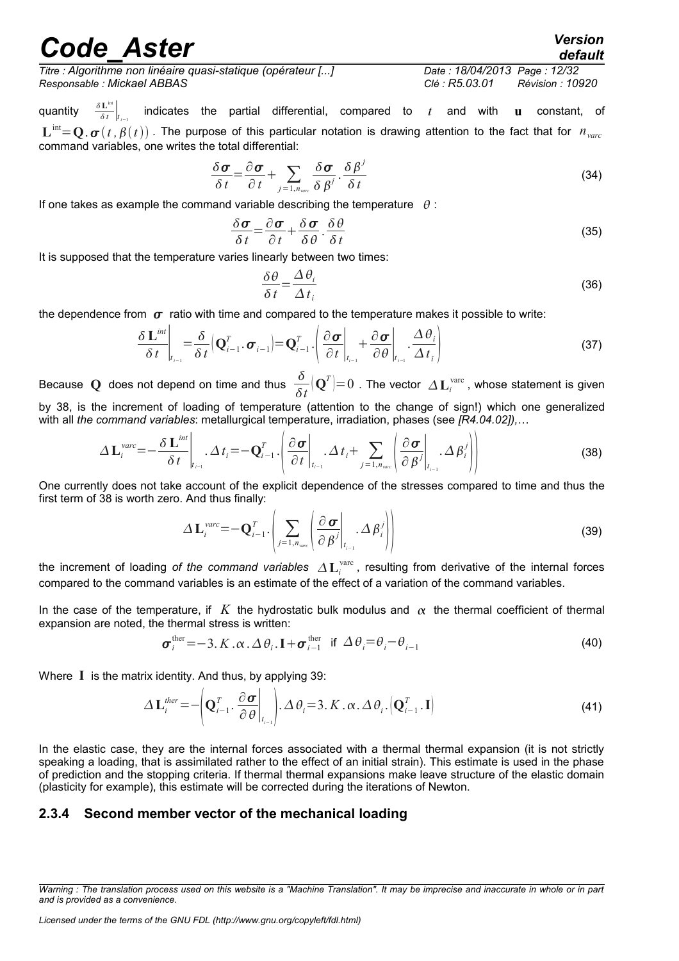*Titre : Algorithme non linéaire quasi-statique (opérateur [...] Date : 18/04/2013 Page : 12/32 Responsable : Mickael ABBAS Clé : R5.03.01 Révision : 10920*

quantity **<sup>L</sup>** int  $\frac{L}{\delta t}\bigg|_{t_{i-1}}$  indicates the partial differential, compared to *t* and with **u** constant, of  ${\bf L}^{\rm int}\!\!=\!{\bf Q}$   $.$   $\bm\sigma(t$  ,  $\beta(t))$  . The purpose of this particular notation is drawing attention to the fact that for  $\:$   $n_{\rm varc}$ command variables, one writes the total differential:

$$
\frac{\delta \sigma}{\delta t} = \frac{\partial \sigma}{\partial t} + \sum_{j=1, n_{\text{var}}} \frac{\delta \sigma}{\delta \beta^j} \cdot \frac{\delta \beta^j}{\delta t}
$$
(34)

If one takes as example the command variable describing the temperature  $\theta$ :

$$
\frac{\delta \sigma}{\delta t} = \frac{\partial \sigma}{\partial t} + \frac{\delta \sigma}{\delta \theta} \cdot \frac{\delta \theta}{\delta t}
$$
(35)

It is supposed that the temperature varies linearly between two times:

<span id="page-11-2"></span>
$$
\frac{\delta \theta}{\delta t} = \frac{\Delta \theta_i}{\Delta t_i} \tag{36}
$$

the dependence from  $\sigma$  ratio with time and compared to the temperature makes it possible to write:

$$
\frac{\delta \mathbf{L}^{int}}{\delta t}\bigg|_{t_{i-1}} = \frac{\delta}{\delta t}\Big(\mathbf{Q}_{i-1}^T \cdot \boldsymbol{\sigma}_{i-1}\Big) = \mathbf{Q}_{i-1}^T \cdot \left(\frac{\partial \boldsymbol{\sigma}}{\partial t}\bigg|_{t_{i-1}} + \frac{\partial \boldsymbol{\sigma}}{\partial \theta}\bigg|_{t_{i-1}} \cdot \frac{\Delta \theta_i}{\Delta t_i}\right) \tag{37}
$$

Because  $Q$  does not depend on time and thus  $\frac{\delta}{\delta t}$  $\left(\mathbf{Q}^{\mathit{T}}\right)\hspace{-0.05cm}=\hspace{-0.05cm}0$  . The vector  $\left.\Delta\mathbf{\,L}_{\mathit{i}}^{\mathrm{varc}}\right.$  , whose statement is given by [38,](#page-11-2) is the increment of loading of temperature (attention to the change of sign!) which one generalized with all *the command variables*: metallurgical temperature, irradiation, phases (see *[R4.04.02]),*…

$$
\Delta \mathbf{L}_{i}^{vare} = -\frac{\delta \mathbf{L}^{int}}{\delta t}\bigg|_{t_{i-1}} \Delta t_{i} = -\mathbf{Q}_{i-1}^{T} \cdot \left( \frac{\partial \boldsymbol{\sigma}}{\partial t}\bigg|_{t_{i-1}} \Delta t_{i} + \sum_{j=1, n_{\text{wire}}} \left( \frac{\partial \boldsymbol{\sigma}}{\partial \beta^{j}}\bigg|_{t_{i-1}} \Delta \beta_{i}^{j} \right) \right)
$$
(38)

One currently does not take account of the explicit dependence of the stresses compared to time and thus the first term of [38](#page-11-2) is worth zero. And thus finally:

<span id="page-11-1"></span>
$$
\Delta \mathbf{L}_{i}^{varc} = -\mathbf{Q}_{i-1}^{T} \cdot \left( \sum_{j=1, n_{\text{wire}}} \left( \frac{\partial \boldsymbol{\sigma}}{\partial \boldsymbol{\beta}^{j}} \bigg|_{t_{i-1}} \cdot \Delta \boldsymbol{\beta}_{i}^{j} \right) \right)
$$
(39)

the increment of loading *of the command variables*  $\Delta L_i^{var}$ , resulting from derivative of the internal forces compared to the command variables is an estimate of the effect of a variation of the command variables.

In the case of the temperature, if K the hydrostatic bulk modulus and  $\alpha$  the thermal coefficient of thermal expansion are noted, the thermal stress is written:

$$
\boldsymbol{\sigma}_{i}^{\text{ther}} = -3. K \cdot \boldsymbol{\alpha} \cdot \Delta \theta_{i} . \mathbf{I} + \boldsymbol{\sigma}_{i-1}^{\text{ther}} \text{ if } \Delta \theta_{i} = \theta_{i} - \theta_{i-1}
$$
\n(40)

Where **I** is the matrix identity. And thus, by applying [39:](#page-11-1)

$$
\Delta \mathbf{L}_{i}^{\text{ther}} = -\left(\mathbf{Q}_{i-1}^{T}, \frac{\partial \boldsymbol{\sigma}}{\partial \theta}\bigg|_{t_{i-1}}\right) \cdot \Delta \theta_{i} = 3. K \cdot \alpha \cdot \Delta \theta_{i} \cdot \left(\mathbf{Q}_{i-1}^{T}, \mathbf{I}\right)
$$
\n(41)

In the elastic case, they are the internal forces associated with a thermal thermal expansion (it is not strictly speaking a loading, that is assimilated rather to the effect of an initial strain). This estimate is used in the phase of prediction and the stopping criteria. If thermal thermal expansions make leave structure of the elastic domain (plasticity for example), this estimate will be corrected during the iterations of Newton.

#### <span id="page-11-0"></span>**2.3.4 Second member vector of the mechanical loading**

*Warning : The translation process used on this website is a "Machine Translation". It may be imprecise and inaccurate in whole or in part and is provided as a convenience.*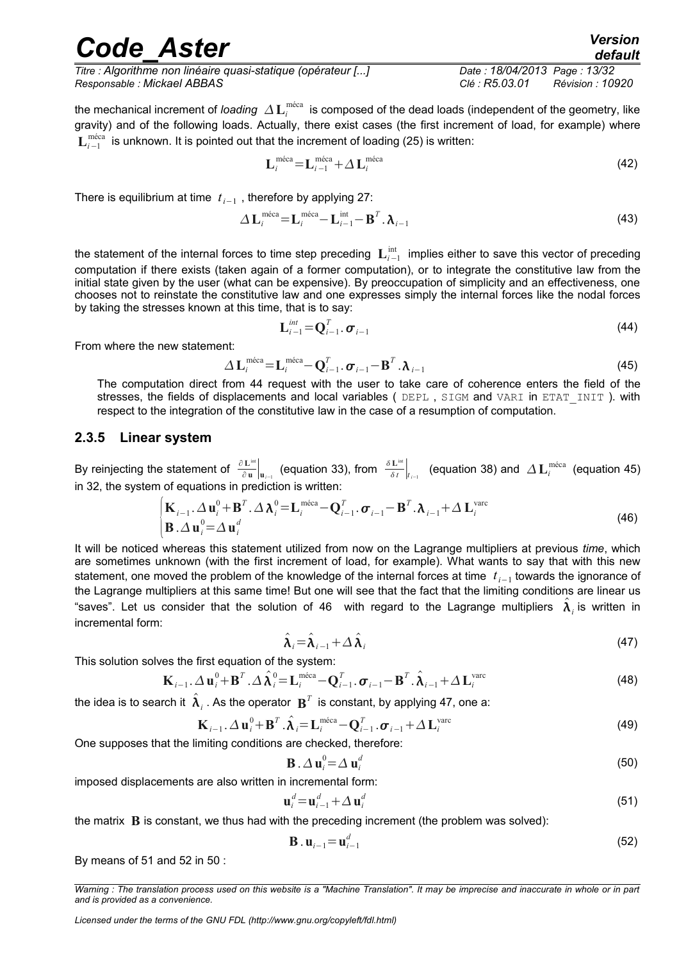| <b>Code Aster</b>                                            | <b>Version</b><br>default    |
|--------------------------------------------------------------|------------------------------|
| Titre : Algorithme non linéaire quasi-statique (opérateur [] | Date: 18/04/2013 Page: 13/32 |

*Responsable : Mickael ABBAS Clé : R5.03.01 Révision : 10920*

the mechanical increment of *loading*  $\varDelta\,{\bf L}_i^{\rm~m\'eca}$  is composed of the dead loads (independent of the geometry, like gravity) and of the following loads. Actually, there exist cases (the first increment of load, for example) where **L***<sup>i</sup>*−<sup>1</sup> méca is unknown. It is pointed out that the increment of loading [\(25\)](#page-10-3) is written:

$$
\mathbf{L}_i^{\text{méca}} = \mathbf{L}_{i-1}^{\text{méca}} + \Delta \mathbf{L}_i^{\text{méca}}
$$
(42)

There is equilibrium at time *t i*−1 , therefore by applying [27:](#page-10-7)

$$
\Delta \mathbf{L}_i^{\text{méca}} = \mathbf{L}_i^{\text{méca}} - \mathbf{L}_{i-1}^{\text{int}} - \mathbf{B}^T \cdot \mathbf{\lambda}_{i-1}
$$
\n(43)

the statement of the internal forces to time step preceding  $\bf{L}_{i-1}^{int}$  implies either to save this vector of preceding computation if there exists (taken again of a former computation), or to integrate the constitutive law from the initial state given by the user (what can be expensive). By preoccupation of simplicity and an effectiveness, one chooses not to reinstate the constitutive law and one expresses simply the internal forces like the nodal forces by taking the stresses known at this time, that is to say:

<span id="page-12-7"></span><span id="page-12-6"></span>
$$
\mathbf{L}_{i-1}^{int} = \mathbf{Q}_{i-1}^T \cdot \boldsymbol{\sigma}_{i-1}
$$
\n(44)

From where the new statement:

$$
\Delta \mathbf{L}_i^{\text{méca}} = \mathbf{L}_i^{\text{méca}} - \mathbf{Q}_{i-1}^T \cdot \boldsymbol{\sigma}_{i-1} - \mathbf{B}^T \cdot \boldsymbol{\lambda}_{i-1}
$$
\n(45)

The computation direct from [44](#page-12-7) request with the user to take care of coherence enters the field of the stresses, the fields of displacements and local variables ( DEPL, SIGM and VARI in ETAT INIT ). with respect to the integration of the constitutive law in the case of a resumption of computation.

#### <span id="page-12-0"></span>**2.3.5 Linear system**

By reinjecting the statement of  $\frac{\partial L^{int}}{\partial u}\Big|_{u_{i-1}}$  (equation [33\)](#page-10-2), from  $\frac{\delta L^{int}}{\delta t}\Big|_{t_{i-1}}$  (equation [38\)](#page-11-2) and  $\Delta L_i^{micro}$  (equation [45\)](#page-12-6) in [32,](#page-10-6) the system of equations in prediction is written:

$$
\begin{cases}\n\mathbf{K}_{i-1} \cdot \Delta \mathbf{u}_i^0 + \mathbf{B}^T \cdot \Delta \lambda_i^0 = \mathbf{L}_i^{\text{m\'eva}} - \mathbf{Q}_{i-1}^T \cdot \boldsymbol{\sigma}_{i-1} - \mathbf{B}^T \cdot \lambda_{i-1} + \Delta \mathbf{L}_i^{\text{var}} \\
\mathbf{B} \cdot \Delta \mathbf{u}_i^0 = \Delta \mathbf{u}_i^d\n\end{cases}
$$
\n(46)

It will be noticed whereas this statement utilized from now on the Lagrange multipliers at previous *time*, which are sometimes unknown (with the first increment of load, for example). What wants to say that with this new statement, one moved the problem of the knowledge of the internal forces at time *t i*−1 towards the ignorance of the Lagrange multipliers at this same time! But one will see that the fact that the limiting conditions are linear us "saves". Let us consider that the solution of [46](#page-12-5) with regard to the Lagrange multipliers  $\hat{\lambda}_i$  is written in incremental form:

<span id="page-12-5"></span><span id="page-12-4"></span>
$$
\hat{\lambda}_i = \hat{\lambda}_{i-1} + \Delta \hat{\lambda}_i \tag{47}
$$

This solution solves the first equation of the system:

$$
\mathbf{K}_{i-1} \cdot \Delta \mathbf{u}_i^0 + \mathbf{B}^T \cdot \Delta \hat{\boldsymbol{\lambda}}_i^0 = \mathbf{L}_i^{\text{meca}} - \mathbf{Q}_{i-1}^T \cdot \boldsymbol{\sigma}_{i-1} - \mathbf{B}^T \cdot \hat{\boldsymbol{\lambda}}_{i-1} + \Delta \mathbf{L}_i^{\text{var}} \tag{48}
$$

the idea is to search it  $\hat{\bm{\lambda}}_i$  . As the operator  $\, {\bf B}^T \,$  is constant, by applying [47,](#page-12-4) one a:

$$
\mathbf{K}_{i-1} \cdot \Delta \mathbf{u}_i^0 + \mathbf{B}^T \cdot \hat{\boldsymbol{\lambda}}_i = \mathbf{L}_i^{\text{m\'eva}} - \mathbf{Q}_{i-1}^T \cdot \boldsymbol{\sigma}_{i-1} + \Delta \mathbf{L}_i^{\text{var}} \tag{49}
$$

One supposes that the limiting conditions are checked, therefore:

<span id="page-12-1"></span>
$$
\mathbf{B} \cdot \Delta \mathbf{u}_i^0 = \Delta \mathbf{u}_i^d \tag{50}
$$

imposed displacements are also written in incremental form:

<span id="page-12-3"></span>
$$
\mathbf{u}_i^d = \mathbf{u}_{i-1}^d + \Delta \mathbf{u}_i^d \tag{51}
$$

the matrix **B** is constant, we thus had with the preceding increment (the problem was solved):

<span id="page-12-2"></span>
$$
\mathbf{B} \cdot \mathbf{u}_{i-1} = \mathbf{u}_{i-1}^d \tag{52}
$$

By means of [51](#page-12-3) and [52](#page-12-2) in [50](#page-12-1) :

*Warning : The translation process used on this website is a "Machine Translation". It may be imprecise and inaccurate in whole or in part and is provided as a convenience.*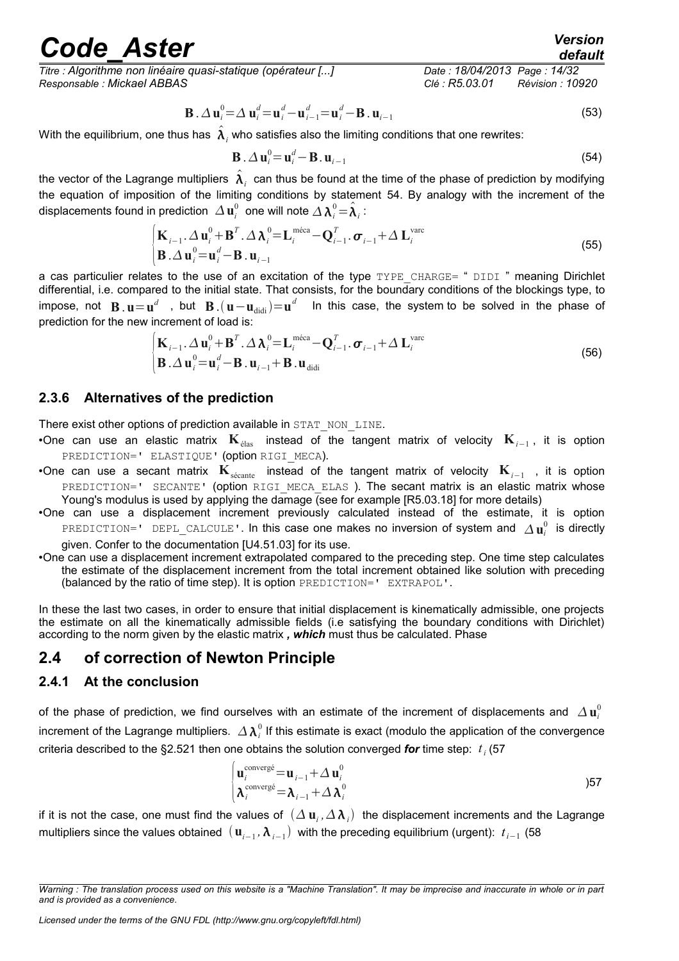*Titre : Algorithme non linéaire quasi-statique (opérateur [...] Date : 18/04/2013 Page : 14/32 Responsable : Mickael ABBAS Clé : R5.03.01 Révision : 10920*

$$
\mathbf{B} \cdot \Delta \mathbf{u}_i^0 = \Delta \mathbf{u}_i^d = \mathbf{u}_i^d - \mathbf{u}_{i-1}^d = \mathbf{u}_i^d - \mathbf{B} \cdot \mathbf{u}_{i-1}
$$
 (53)

With the equilibrium, one thus has  $\;\hat{\lambda}_{i}$  who satisfies also the limiting conditions that one rewrites:

$$
\mathbf{B} \cdot \Delta \mathbf{u}_i^0 = \mathbf{u}_i^d - \mathbf{B} \cdot \mathbf{u}_{i-1}
$$
 (54)

the vector of the Lagrange multipliers  $\,\hat\lambda_i\,$  can thus be found at the time of the phase of prediction by modifying the equation of imposition of the limiting conditions by statement [54.](#page-13-3) By analogy with the increment of the displacements found in prediction  $\varDelta\,\mathbf{u}_i^0\,$  one will note  $\varDelta\,\bm{\lambda}_i^0\!=\!\hat{\bm{\lambda}}_i$  :

$$
\begin{cases}\n\mathbf{K}_{i-1} \cdot \Delta \mathbf{u}_i^0 + \mathbf{B}^T \cdot \Delta \mathbf{\Lambda}_i^0 = \mathbf{L}_i^{\text{m\'eva}} - \mathbf{Q}_{i-1}^T \cdot \boldsymbol{\sigma}_{i-1} + \Delta \mathbf{L}_i^{\text{var}} \\
\mathbf{B} \cdot \Delta \mathbf{u}_i^0 = \mathbf{u}_i^d - \mathbf{B} \cdot \mathbf{u}_{i-1}\n\end{cases}
$$
\n(55)

a cas particulier relates to the use of an excitation of the type TYPE CHARGE= " DIDI " meaning Dirichlet differential, i.e. compared to the initial state. That consists, for the boundary conditions of the blockings type, to impose, not  $B u = u^d$  , but  $B$   $(u - u_{\text{did}}) = u^d$  In this case, the system to be solved in the phase of prediction for the new increment of load is:

$$
\begin{cases}\n\mathbf{K}_{i-1} \cdot \Delta \mathbf{u}_i^0 + \mathbf{B}^T \cdot \Delta \mathbf{\lambda}_i^0 = \mathbf{L}_i^{\text{méca}} - \mathbf{Q}_{i-1}^T \cdot \boldsymbol{\sigma}_{i-1} + \Delta \mathbf{L}_i^{\text{varc}} \\
\mathbf{B} \cdot \Delta \mathbf{u}_i^0 = \mathbf{u}_i^d - \mathbf{B} \cdot \mathbf{u}_{i-1} + \mathbf{B} \cdot \mathbf{u}_{\text{did}}\n\end{cases}
$$
\n(56)

#### <span id="page-13-2"></span>**2.3.6 Alternatives of the prediction**

There exist other options of prediction available in STAT\_NON\_LINE.

- •One can use an elastic matrix **K**élas instead of the tangent matrix of velocity **K***<sup>i</sup>*−<sup>1</sup> , it is option PREDICTION=' ELASTIQUE' (option RIGI MECA).
- •One can use a secant matrix **K**sécante instead of the tangent matrix of velocity **K***<sup>i</sup>*−<sup>1</sup> , it is option PREDICTION=' SECANTE' (option RIGI MECA ELAS ). The secant matrix is an elastic matrix whose Young's modulus is used by applying the damage (see for example [R5.03.18] for more details)
- •One can use a displacement increment previously calculated instead of the estimate, it is option PREDICTION=' DEPL\_CALCULE'. In this case one makes no inversion of system and  $\Delta\mathbf{u}_i^0$  is directly given. Confer to the documentation [U4.51.03] for its use.
- •One can use a displacement increment extrapolated compared to the preceding step. One time step calculates the estimate of the displacement increment from the total increment obtained like solution with preceding (balanced by the ratio of time step). It is option PREDICTION=' EXTRAPOL'.

In these the last two cases, in order to ensure that initial displacement is kinematically admissible, one projects the estimate on all the kinematically admissible fields (i.e satisfying the boundary conditions with Dirichlet) according to the norm given by the elastic matrix *, which* must thus be calculated. Phase

### <span id="page-13-1"></span>**2.4 of correction of Newton Principle**

#### <span id="page-13-0"></span>**2.4.1 At the conclusion**

of the phase of prediction, we find ourselves with an estimate of the increment of displacements and  $\varDelta\,\mathbf{u}^0_i$ increment of the Lagrange multipliers.  $\,\Delta\,\lambda^0_i$  If this estimate is exact (modulo the application of the convergence criteria described to the §2.[521](#page-20-0) then one obtains the solution converged *for* time step: *t i* (57

$$
\begin{cases}\n\mathbf{u}_{i}^{\text{converg}\acute{e}} = \mathbf{u}_{i-1} + \Delta \mathbf{u}_{i}^{0} \\
\lambda_{i}^{\text{converg}\acute{e}} = \lambda_{i-1} + \Delta \lambda_{i}^{0}\n\end{cases}
$$

if it is not the case, one must find the values of  $(\varDelta\,\mathbf{u}_i,\varDelta\,\pmb{\lambda}_i)$  the displacement increments and the Lagrange multipliers since the values obtained  $(\mathbf{u}_{i-1}, \bm{\lambda}_{i-1})$  with the preceding equilibrium (urgent):  $t_{i-1}$  (58

<span id="page-13-3"></span>*default*

*Warning : The translation process used on this website is a "Machine Translation". It may be imprecise and inaccurate in whole or in part and is provided as a convenience.*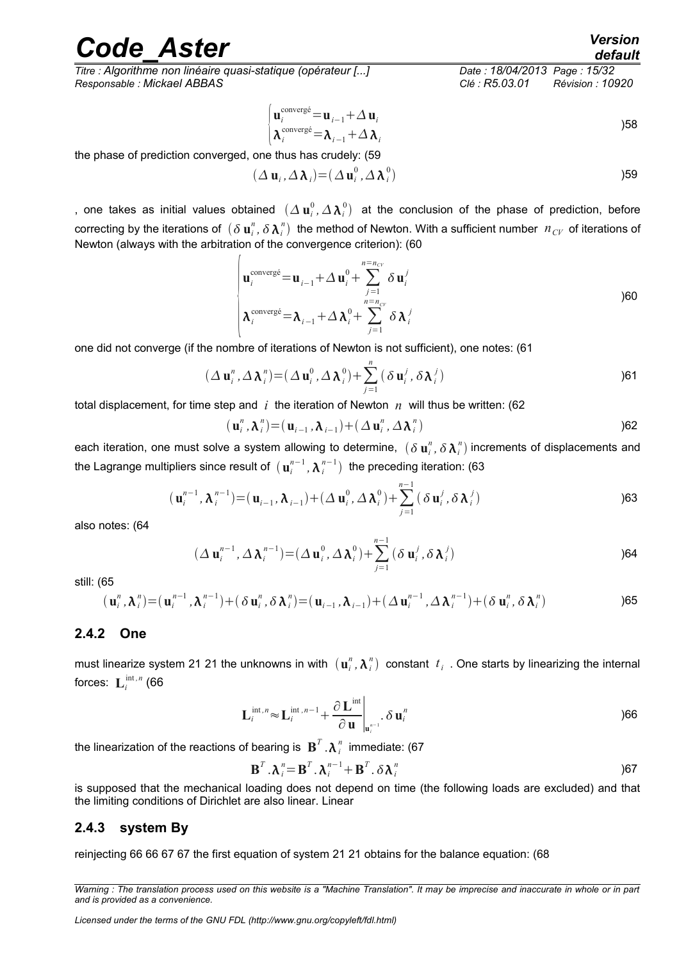*Titre : Algorithme non linéaire quasi-statique (opérateur [...] Date : 18/04/2013 Page : 15/32 Responsable : Mickael ABBAS Clé : R5.03.01 Révision : 10920*

$$
\begin{cases}\n\mathbf{u}_{i}^{\text{converg}\acute{e}} = \mathbf{u}_{i-1} + \Delta \mathbf{u}_{i} \\
\lambda_{i}^{\text{converg}\acute{e}} = \lambda_{i-1} + \Delta \lambda_{i}\n\end{cases}
$$

the phase of prediction converged, one thus has crudely: (59

$$
(\Delta \mathbf{u}_i, \Delta \mathbf{\lambda}_i) = (\Delta \mathbf{u}_i^0, \Delta \mathbf{\lambda}_i^0)
$$

, one takes as initial values obtained  $(\Delta\,{\bf u}_i^0,\Delta\,\pmb{\lambda}_i^0)$  at the conclusion of the phase of prediction, before correcting by the iterations of  $(\delta\,\mathbf{u}^n_i,\delta\,\bm{\lambda}^n_i)$  the method of Newton. With a sufficient number  $\,n_{\rm\scriptscriptstyle{CV}}\,$  of iterations of Newton (always with the arbitration of the convergence criterion): (60

$$
\begin{cases}\n\mathbf{u}_{i}^{\text{converg}\acute{e}} = \mathbf{u}_{i-1} + \Delta \mathbf{u}_{i}^{0} + \sum_{j=1}^{n=n_{CV}} \delta \mathbf{u}_{i}^{j} \\
\lambda_{i}^{\text{converg}\acute{e}} = \lambda_{i-1} + \Delta \lambda_{i}^{0} + \sum_{j=1}^{n=n_{CV}} \delta \lambda_{i}^{j}\n\end{cases}
$$
\n(60)

one did not converge (if the nombre of iterations of Newton is not sufficient), one notes: (61

$$
(\Delta \mathbf{u}_i^n, \Delta \lambda_i^n) = (\Delta \mathbf{u}_i^0, \Delta \lambda_i^0) + \sum_{j=1}^n (\delta \mathbf{u}_i^j, \delta \lambda_i^j)
$$
 (61)

total displacement, for time step and *i* the iteration of Newton *n* will thus be written: (62

$$
(\mathbf{u}_i^n, \boldsymbol{\lambda}_i^n) = (\mathbf{u}_{i-1}, \boldsymbol{\lambda}_{i-1}) + (\Delta \mathbf{u}_i^n, \Delta \boldsymbol{\lambda}_i^n)
$$
 (62)

each iteration, one must solve a system allowing to determine,  $(\delta\,{\bf u}_i^n,\delta\,{\pmb{\lambda}}_i^n)$  increments of displacements and the Lagrange multipliers since result of  $(\textbf{u}^{n-1}_i, \boldsymbol{\lambda}^{n-1}_i)$  the preceding iteration: (63

$$
(\mathbf{u}_{i}^{n-1}, \boldsymbol{\lambda}_{i}^{n-1}) = (\mathbf{u}_{i-1}, \boldsymbol{\lambda}_{i-1}) + (\Delta \mathbf{u}_{i}^{0}, \Delta \boldsymbol{\lambda}_{i}^{0}) + \sum_{j=1}^{n-1} (\delta \mathbf{u}_{i}^{j}, \delta \boldsymbol{\lambda}_{i}^{j})
$$

also notes: (64

$$
(\Delta \mathbf{u}_{i}^{n-1}, \Delta \lambda_{i}^{n-1}) = (\Delta \mathbf{u}_{i}^{0}, \Delta \lambda_{i}^{0}) + \sum_{j=1}^{n-1} (\delta \mathbf{u}_{i}^{j}, \delta \lambda_{i}^{j})
$$

still: (65

<span id="page-14-1"></span>
$$
(\mathbf{u}_i^n, \boldsymbol{\lambda}_i^n) = (\mathbf{u}_i^{n-1}, \boldsymbol{\lambda}_i^{n-1}) + (\delta \mathbf{u}_i^n, \delta \boldsymbol{\lambda}_i^n) = (\mathbf{u}_{i-1}, \boldsymbol{\lambda}_{i-1}) + (\Delta \mathbf{u}_i^{n-1}, \Delta \boldsymbol{\lambda}_i^{n-1}) + (\delta \mathbf{u}_i^n, \delta \boldsymbol{\lambda}_i^n)
$$

#### **2.4.2 One**

must linearize system [21](#page-9-2) 21 the unknowns in with  $({\bf u}_i^n, {\bf \lambda}_i^n)$  constant  $|t_i|$  . One starts by linearizing the internal forces:  $\mathbf{L}_i^{\text{int},n}$  (66

$$
\mathbf{L}_{i}^{\text{int},n} \approx \mathbf{L}_{i}^{\text{int},n-1} + \frac{\partial \mathbf{L}^{\text{int}}}{\partial \mathbf{u}} \bigg|_{\mathbf{u}_{i}^{n-1}} \delta \mathbf{u}_{i}^{n}
$$

the linearization of the reactions of bearing is  $\textbf{B}^{T}$  . $\boldsymbol{\lambda}_{i}^{n}$  immediate: (67

<span id="page-14-3"></span><span id="page-14-2"></span>
$$
\mathbf{B}^T \cdot \mathbf{\lambda}_i^n = \mathbf{B}^T \cdot \mathbf{\lambda}_i^{n-1} + \mathbf{B}^T \cdot \delta \mathbf{\lambda}_i^n
$$
 (67)

is supposed that the mechanical loading does not depend on time (the following loads are excluded) and that the limiting conditions of Dirichlet are also linear. Linear

#### <span id="page-14-0"></span>**2.4.3 system By**

reinjecting 66 [66](#page-14-3) 67 [67](#page-14-2) the first equation of system 21 [21](#page-9-2) obtains for the balance equation: (68

*Warning : The translation process used on this website is a "Machine Translation". It may be imprecise and inaccurate in whole or in part and is provided as a convenience.*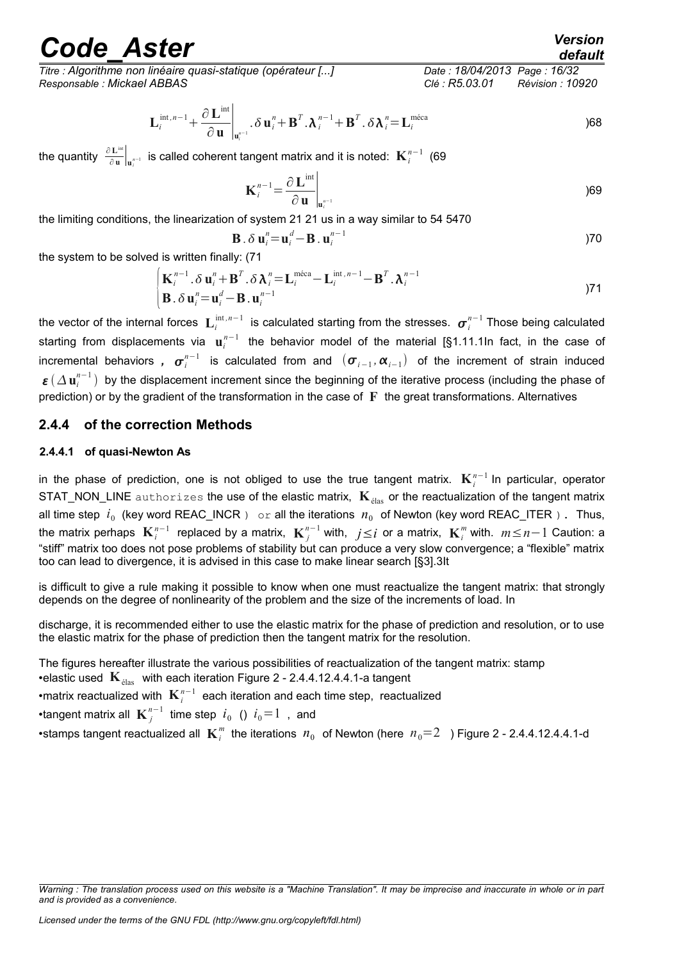*Titre : Algorithme non linéaire quasi-statique (opérateur [...] Date : 18/04/2013 Page : 16/32 Responsable : Mickael ABBAS Clé : R5.03.01 Révision : 10920*

$$
\mathbf{L}_{i}^{\text{int},n-1} + \frac{\partial \mathbf{L}^{\text{int}}}{\partial \mathbf{u}} \bigg|_{\mathbf{u}_{i}^{n-1}} \cdot \delta \mathbf{u}_{i}^{n} + \mathbf{B}^{T} \cdot \mathbf{\lambda}_{i}^{n-1} + \mathbf{B}^{T} \cdot \delta \mathbf{\lambda}_{i}^{n} = \mathbf{L}_{i}^{\text{méca}}
$$

the quantity  $\frac{\partial L^{int}}{\partial u}|_{u_i^{n-1}}$  is called coherent tangent matrix and it is noted:  $\mathbf{K}_i^{n-1}$  (69

$$
\mathbf{K}_{i}^{n-1} = \frac{\partial \mathbf{L}^{\text{int}}}{\partial \mathbf{u}} \bigg|_{\mathbf{u}_{i}^{n-1}}
$$

the limiting conditions, the linearization of system 21 [21](#page-9-2) us in a way similar to 54 [547](#page-13-3)0

$$
\mathbf{B} \cdot \delta \mathbf{u}_i^n = \mathbf{u}_i^d - \mathbf{B} \cdot \mathbf{u}_i^{n-1}
$$

the system to be solved is written finally: (71

$$
\begin{cases}\n\mathbf{K}_{i}^{n-1} \cdot \delta \mathbf{u}_{i}^{n} + \mathbf{B}^{T} \cdot \delta \lambda_{i}^{n} = \mathbf{L}_{i}^{\text{méca}} - \mathbf{L}_{i}^{\text{int},n-1} - \mathbf{B}^{T} \cdot \lambda_{i}^{n-1} \\
\mathbf{B} \cdot \delta \mathbf{u}_{i}^{n} = \mathbf{u}_{i}^{d} - \mathbf{B} \cdot \mathbf{u}_{i}^{n-1}\n\end{cases}
$$

the vector of the internal forces  $\rm L^{int, n-1}_i$  is calculated starting from the stresses.  $\bm \sigma^{n-1}_i$  Those being calculated starting from displacements via  $\mathbf{u}_i^{n-1}$  the behavior model of the material [§1.[11.1I](#page-3-3)n fact, in the case of incremental behaviors *,*  $\sigma_i^{n-1}$  is calculated from and  $(\sigma_{i-1},\alpha_{i-1})$  of the increment of strain induced  $\bm{\varepsilon}$  ( $\Delta$ **u**<sub>i</sub><sup>n-1</sup>) by the displacement increment since the beginning of the iterative process (including the phase of prediction) or by the gradient of the transformation in the case of **F** the great transformations. Alternatives

#### <span id="page-15-1"></span>**2.4.4 of the correction Methods**

#### <span id="page-15-0"></span>**2.4.4.1 of quasi-Newton As**

in the phase of prediction, one is not obliged to use the true tangent matrix.  $\mathbf{K}^{n-1}_i$  In particular, operator STAT\_NON\_LINE authorizes the use of the elastic matrix,  $K_{\text{elas}}$  or the reactualization of the tangent matrix all time step  $i_0$  (key word REAC\_INCR)  $\circ$ r all the iterations  $n_0$  of Newton (key word REAC\_ITER). Thus, the matrix perhaps  $K_i^{n-1}$  replaced by a matrix,  $K_j^{n-1}$  with,  $j \leq i$  or a matrix,  $K_i^m$  with.  $m \leq n-1$  Caution: a "stiff" matrix too does not pose problems of stability but can produce a very slow convergence; a "flexible" matrix too can lead to divergence, it is advised in this case to make linear search [§3][.3I](#page-25-3)t

is difficult to give a rule making it possible to know when one must reactualize the tangent matrix: that strongly depends on the degree of nonlinearity of the problem and the size of the increments of load. In

discharge, it is recommended either to use the elastic matrix for the phase of prediction and resolution, or to use the elastic matrix for the phase of prediction then the tangent matrix for the resolution.

The figures hereafter illustrate the various possibilities of reactualization of the tangent matrix: stamp •elastic used  $\mathbf{K}_{\text{elas}}$  with each iteration Figure [2 - 2.4.4.12.4.4.1-a](#page-16-1) tangent

•matrixreactualized with  $\mathbf{K}^{n-1}_{i}$  each iteration and each time step, reactualized

•tangentmatrix all  $\mathbf{K}_{j}^{n-1}$  time step  $i_0$  ()  $i_0=1$  , and

•stamps tangent reactualized all  $\mathbf{K}^m_i$  the iterations  $n_0$  of Newton (here  $n_0$ =2 ) Figure [2 - 2.4.4.12.4.4.1-d](#page-17-0)

<span id="page-15-2"></span>*default*

*Warning : The translation process used on this website is a "Machine Translation". It may be imprecise and inaccurate in whole or in part and is provided as a convenience.*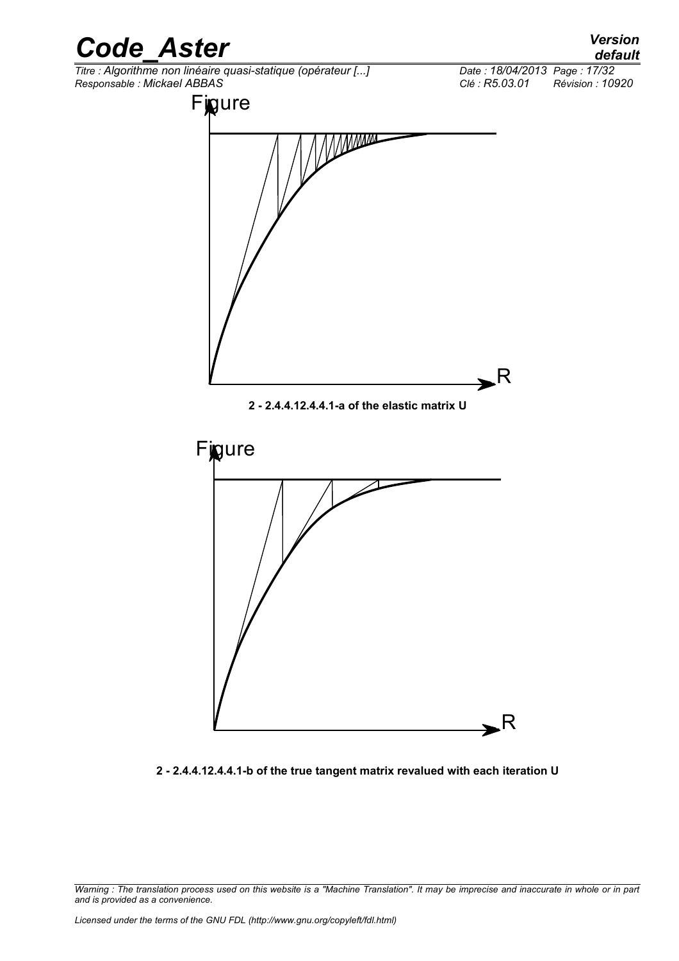

*Titre : Algorithme non linéaire quasi-statique (opérateur [...] Date : 18/04/2013 Page : 17/32 Responsable : Mickael ABBAS Clé : R5.03.01 Révision : 10920*

*default*<br>Date: 18/04/2013 Page: 17/32

<span id="page-16-1"></span>

<span id="page-16-0"></span>**2 - 2.4.4.12.4.4.1-b of the true tangent matrix revalued with each iteration U**

*Warning : The translation process used on this website is a "Machine Translation". It may be imprecise and inaccurate in whole or in part and is provided as a convenience.*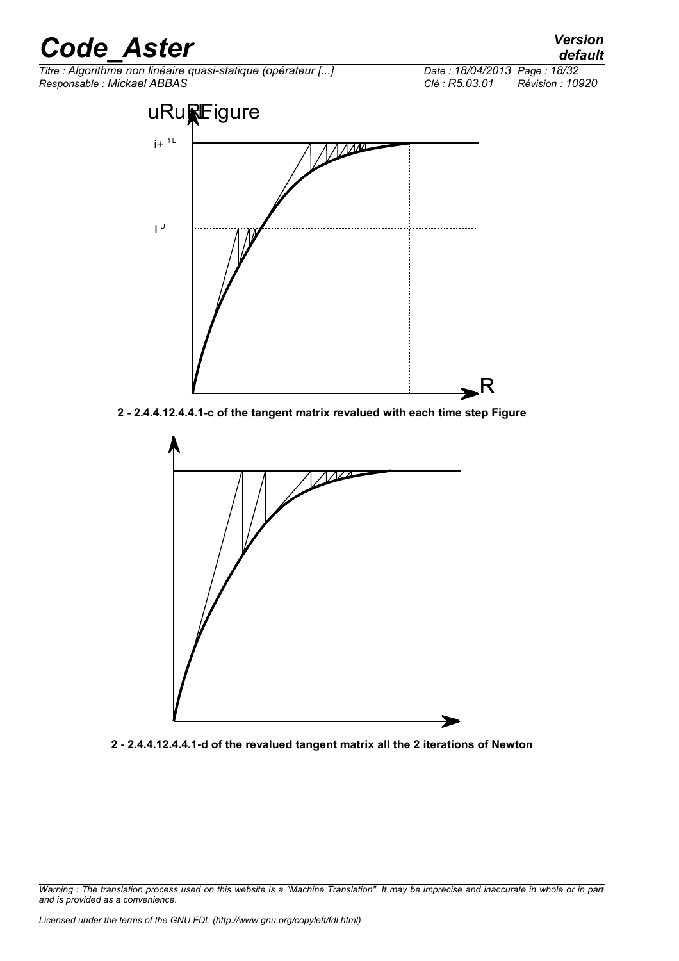

<span id="page-17-1"></span>**2 - 2.4.4.12.4.4.1-c of the tangent matrix revalued with each time step Figure**



<span id="page-17-0"></span>

*Warning : The translation process used on this website is a "Machine Translation". It may be imprecise and inaccurate in whole or in part and is provided as a convenience.*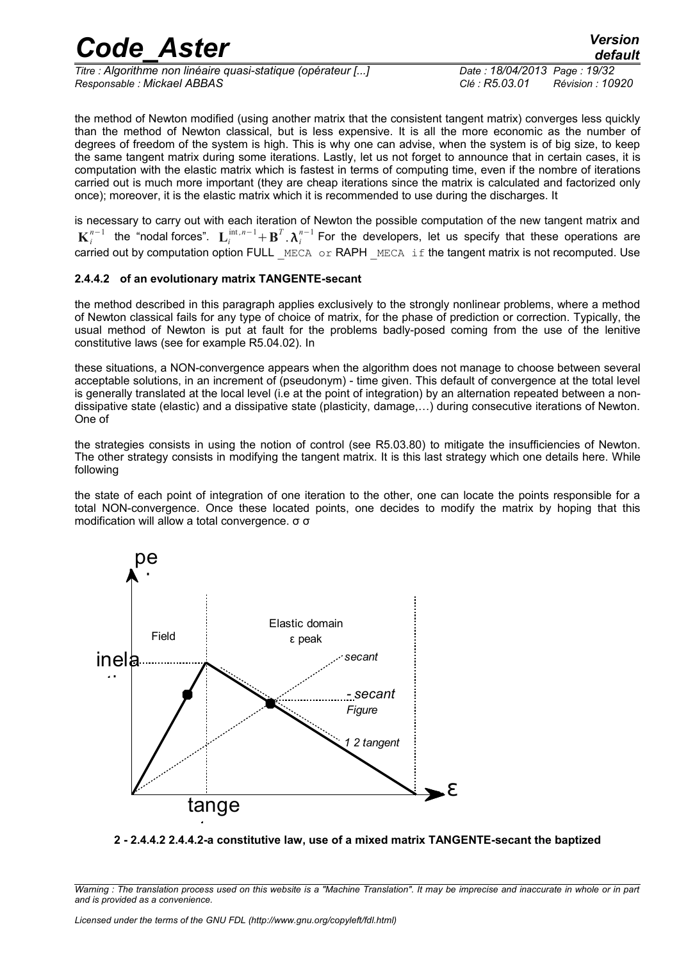*Titre : Algorithme non linéaire quasi-statique (opérateur [...] Date : 18/04/2013 Page : 19/32 Responsable : Mickael ABBAS Clé : R5.03.01 Révision : 10920*

*default*

the method of Newton modified (using another matrix that the consistent tangent matrix) converges less quickly than the method of Newton classical, but is less expensive. It is all the more economic as the number of degrees of freedom of the system is high. This is why one can advise, when the system is of big size, to keep the same tangent matrix during some iterations. Lastly, let us not forget to announce that in certain cases, it is computation with the elastic matrix which is fastest in terms of computing time, even if the nombre of iterations carried out is much more important (they are cheap iterations since the matrix is calculated and factorized only once); moreover, it is the elastic matrix which it is recommended to use during the discharges. It

is necessary to carry out with each iteration of Newton the possible computation of the new tangent matrix and  $K_i^{n-1}$  the "nodal forces".  $L_i^{\text{int},n-1}$ + $\mathbf{B}^T$ .  $\bm{\lambda}_i^{n-1}$  For the developers, let us specify that these operations are carried out by computation option FULL MECA or RAPH MECA if the tangent matrix is not recomputed. Use

#### <span id="page-18-0"></span>**2.4.4.2 of an evolutionary matrix TANGENTE-secant**

the method described in this paragraph applies exclusively to the strongly nonlinear problems, where a method of Newton classical fails for any type of choice of matrix, for the phase of prediction or correction. Typically, the usual method of Newton is put at fault for the problems badly-posed coming from the use of the lenitive constitutive laws (see for example R5.04.02). In

these situations, a NON-convergence appears when the algorithm does not manage to choose between several acceptable solutions, in an increment of (pseudonym) - time given. This default of convergence at the total level is generally translated at the local level (i.e at the point of integration) by an alternation repeated between a nondissipative state (elastic) and a dissipative state (plasticity, damage,…) during consecutive iterations of Newton. One of

the strategies consists in using the notion of control (see R5.03.80) to mitigate the insufficiencies of Newton. The other strategy consists in modifying the tangent matrix. It is this last strategy which one details here. While following

the state of each point of integration of one iteration to the other, one can locate the points responsible for a total NON-convergence. Once these located points, one decides to modify the matrix by hoping that this modification will allow a total convergence. σ σ



<span id="page-18-1"></span>**2 - 2.4.4.2 2.4.4.2-a constitutive law, use of a mixed matrix TANGENTE-secant the baptized** nt

*Warning : The translation process used on this website is a "Machine Translation". It may be imprecise and inaccurate in whole or in part and is provided as a convenience.*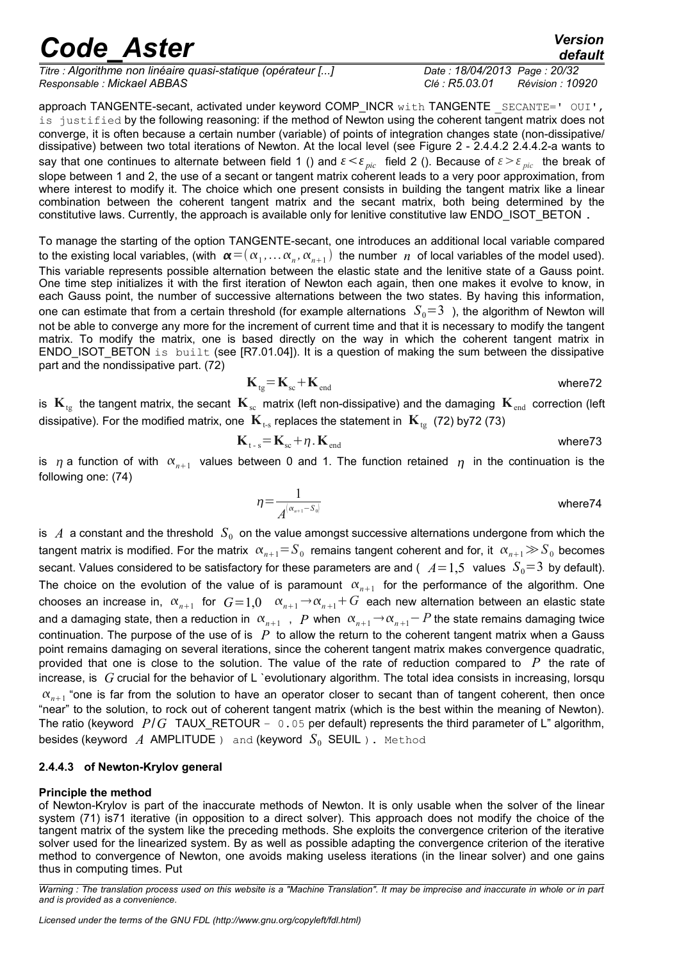*Titre : Algorithme non linéaire quasi-statique (opérateur [...] Date : 18/04/2013 Page : 20/32 Responsable : Mickael ABBAS Clé : R5.03.01 Révision : 10920*

<span id="page-19-1"></span>*default*

approach TANGENTE-secant, activated under keyword COMP\_INCR with TANGENTE SECANTE=' OUI', is justified by the following reasoning: if the method of Newton using the coherent tangent matrix does not converge, it is often because a certain number (variable) of points of integration changes state (non-dissipative/ dissipative) between two total iterations of Newton. At the local level (see Figure [2 - 2.4.4.2 2.4.4.2-a](#page-18-1) wants to say that one continues to alternate between field 1 () and  $\epsilon < \epsilon_{pic}$  field 2 (). Because of  $\epsilon > \epsilon_{pic}$  the break of slope between 1 and 2, the use of a secant or tangent matrix coherent leads to a very poor approximation, from where interest to modify it. The choice which one present consists in building the tangent matrix like a linear combination between the coherent tangent matrix and the secant matrix, both being determined by the constitutive laws. Currently, the approach is available only for lenitive constitutive law ENDO\_ISOT\_BETON.

To manage the starting of the option TANGENTE-secant, one introduces an additional local variable compared to the existing local variables, (with  $\bm{\alpha}$  =  $(\alpha_1, ... \alpha_n, \alpha_{n+1})$  the number  $\,n\,$  of local variables of the model used). This variable represents possible alternation between the elastic state and the lenitive state of a Gauss point. One time step initializes it with the first iteration of Newton each again, then one makes it evolve to know, in each Gauss point, the number of successive alternations between the two states. By having this information, one can estimate that from a certain threshold (for example alternations  $S_0=3$ ), the algorithm of Newton will not be able to converge any more for the increment of current time and that it is necessary to modify the tangent matrix. To modify the matrix, one is based directly on the way in which the coherent tangent matrix in ENDO\_ISOT\_BETON is built (see [R7.01.04]). It is a question of making the sum between the dissipative part and the nondissipative part. (72)

$$
\mathbf{K}_{\text{tg}} = \mathbf{K}_{\text{sc}} + \mathbf{K}_{\text{end}}
$$
 where 72

is  $K_{tg}$  the tangent matrix, the secant  $K_{sc}$  matrix (left non-dissipative) and the damaging  $K_{end}$  correction (left dissipative). For the modified matrix, one  $\mathbf{K}_{\text{t-s}}$  replaces the statement in  $\mathbf{K}_{\text{t}}$  (72) b[y72](#page-19-1) (73)

$$
\mathbf{K}_{t-s} = \mathbf{K}_{sc} + \eta \cdot \mathbf{K}_{end}
$$
 where 73

is  $\eta$  a function of with  $\alpha_{n+1}$  values between 0 and 1. The function retained  $\eta$  in the continuation is the following one: (74)

$$
\eta = \frac{1}{A^{(\alpha_{n+1} - S_0)}}
$$
 where 74

is  $|A|$  a constant and the threshold  $|S_{0}|$  on the value amongst successive alternations undergone from which the tangent matrix is modified. For the matrix  $\,\alpha_{_{n+1}}{=}\,S_0\,$  remains tangent coherent and for, it  $\,\alpha_{_{n+1}}{\gg}S_0$  becomes secant. Values considered to be satisfactory for these parameters are and ( $A=1,5$  values  $S_0=3$  by default). The choice on the evolution of the value of is paramount  $\alpha_{n+1}$  for the performance of the algorithm. One chooses an increase in,  $\alpha_{n+1}$  for  $G=1,0$   $\alpha_{n+1} \to \alpha_{n+1}+G$  each new alternation between an elastic state and a damaging state, then a reduction in  $\alpha_{n+1}$  ,  $P$  when  $\alpha_{n+1}$   $\to$   $\alpha_{n+1}$   $\!$  the state remains damaging twice continuation. The purpose of the use of is *P* to allow the return to the coherent tangent matrix when a Gauss point remains damaging on several iterations, since the coherent tangent matrix makes convergence quadratic, provided that one is close to the solution. The value of the rate of reduction compared to *P* the rate of increase, is *G* crucial for the behavior of L `evolutionary algorithm. The total idea consists in increasing, lorsqu  $\alpha_{n+1}$  "one is far from the solution to have an operator closer to secant than of tangent coherent, then once "near" to the solution, to rock out of coherent tangent matrix (which is the best within the meaning of Newton). The ratio (keyword  $P/G$  TAUX RETOUR – 0.05 per default) represents the third parameter of L" algorithm,  $\,$  besides (keyword  $\,A\,$  AMPLITUDE  $)$  and (keyword  $\,S_{0}\,$  SEUIL  $)$  . <code>Method</code>

#### <span id="page-19-0"></span>**2.4.4.3 of Newton-Krylov general**

#### **Principle the method**

of Newton-Krylov is part of the inaccurate methods of Newton. It is only usable when the solver of the linear system (71) i[s71](#page-15-2) iterative (in opposition to a direct solver). This approach does not modify the choice of the tangent matrix of the system like the preceding methods. She exploits the convergence criterion of the iterative solver used for the linearized system. By as well as possible adapting the convergence criterion of the iterative method to convergence of Newton, one avoids making useless iterations (in the linear solver) and one gains thus in computing times. Put

*Warning : The translation process used on this website is a "Machine Translation". It may be imprecise and inaccurate in whole or in part and is provided as a convenience.*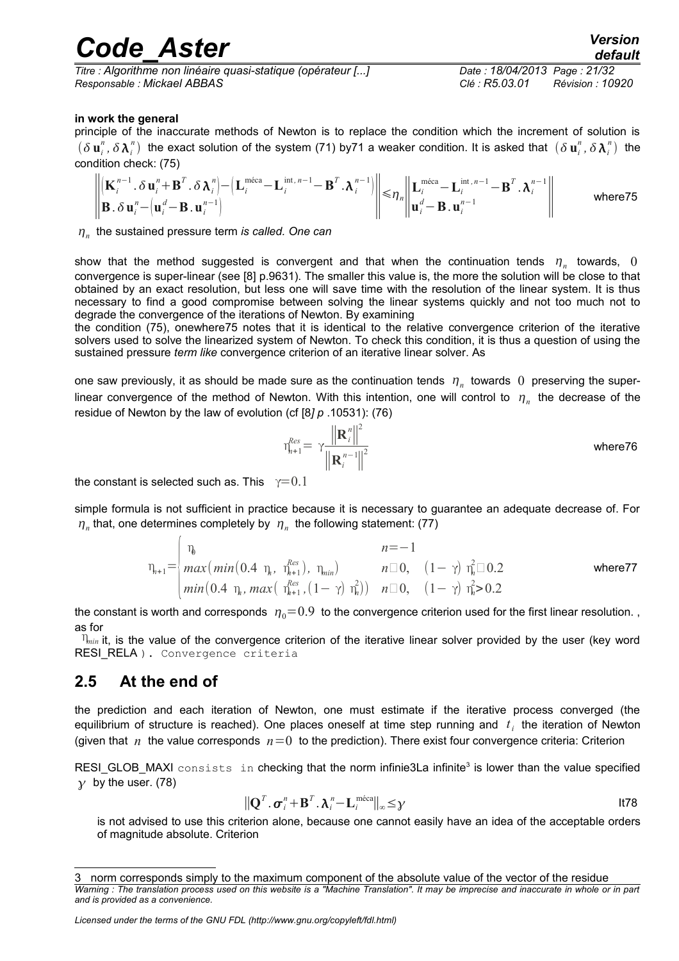*Titre : Algorithme non linéaire quasi-statique (opérateur [...] Date : 18/04/2013 Page : 21/32 Responsable : Mickael ABBAS Clé : R5.03.01 Révision : 10920*

<span id="page-20-1"></span>

#### **in work the general**

principle of the inaccurate methods of Newton is to replace the condition which the increment of solution is  $(\delta u_i^n, \delta \lambda_i^n)$  the exact solution of the system (71) b[y71](#page-15-2) a weaker condition. It is asked that  $(\delta u_i^n, \delta \lambda_i^n)$  the condition check: (75)

$$
\left\| \left( \mathbf{K}_{i}^{n-1} \cdot \delta \mathbf{u}_{i}^{n} + \mathbf{B}^{T} \cdot \delta \lambda_{i}^{n} \right) - \left( \mathbf{L}_{i}^{\text{méca}} - \mathbf{L}_{i}^{\text{int}, n-1} - \mathbf{B}^{T} \cdot \lambda_{i}^{n-1} \right) \right\| \leq \eta_{n} \left\| \mathbf{L}_{i}^{\text{méca}} - \mathbf{L}_{i}^{\text{int}, n-1} - \mathbf{B}^{T} \cdot \lambda_{i}^{n-1} \right\| \qquad \text{where75}
$$

*n* the sustained pressure term *is called. One can*

show that the method suggested is convergent and that when the continuation tends  $\eta_n$  towards,  $0$ convergence is super-linear (see [8] p.9[631\)](#page-30-3). The smaller this value is, the more the solution will be close to that obtained by an exact resolution, but less one will save time with the resolution of the linear system. It is thus necessary to find a good compromise between solving the linear systems quickly and not too much not to degrade the convergence of the iterations of Newton. By examining

the condition (75), on[ewhere75](#page-20-1) notes that it is identical to the relative convergence criterion of the iterative solvers used to solve the linearized system of Newton. To check this condition, it is thus a question of using the sustained pressure *term like* convergence criterion of an iterative linear solver. As

one saw previously, it as should be made sure as the continuation tends  $\eta_n^+$  towards  $\,0\,$  preserving the superlinear convergence of the method of Newton. With this intention, one will control to  $\eta_n$  the decrease of the residue of Newton by the law of evolution (cf [8*] p* .10[531\)](#page-30-3): (76)

$$
\eta_{n+1}^{Res} = \gamma \frac{\left\| \mathbf{R}_i^n \right\|^2}{\left\| \mathbf{R}_i^{n-1} \right\|^2}
$$
 where 76

the constant is selected such as. This  $\gamma=0.1$ 

simple formula is not sufficient in practice because it is necessary to guarantee an adequate decrease of. For  $\eta_n$  that, one determines completely by  $\eta_n$  the following statement: (77)

$$
\eta_{n+1} = \begin{vmatrix}\n\eta & & n = -1 \\
\max(\min(0.4 \ \eta_n, \ \eta_{n+1}^{Res}), \ \eta_{mn}) & & n = 0, \\
\min(0.4 \ \eta_n, \ \max(\ \eta_{n+1}^{Res}, (1 - \gamma) \ \eta_n^2)) & & n = 0, \\
\end{vmatrix} \quad (1 - \gamma) \quad \eta_n^2 = 0.2
$$
\nwhere 77

the constant is worth and corresponds  $\eta_0=0.9$  to the convergence criterion used for the first linear resolution. as for

η*min* it, is the value of the convergence criterion of the iterative linear solver provided by the user (key word RESI RELA ). Convergence criteria

#### <span id="page-20-0"></span>**2.5 At the end of**

the prediction and each iteration of Newton, one must estimate if the iterative process converged (the equilibrium of structure is reached). One places oneself at time step running and *t i* the iteration of Newton (given that  $n$  the value corresponds  $n=0$  to the prediction). There exist four convergence criteria: Criterion

RESI\_GLOB\_MAXI consists in checking that the norm infinie[3](#page-20-2)La infinite<sup>3</sup> is lower than the value specified  $\gamma$  by the user. (78)

$$
\|\mathbf{Q}^T \cdot \boldsymbol{\sigma}_i^n + \mathbf{B}^T \cdot \boldsymbol{\lambda}_i^n - \mathbf{L}_i^{\text{m\'ecal}}\|_{\infty} \leq \gamma
$$

is not advised to use this criterion alone, because one cannot easily have an idea of the acceptable orders of magnitude absolute. Criterion

<span id="page-20-2"></span><sup>3</sup> norm corresponds simply to the maximum component of the absolute value of the vector of the residue *Warning : The translation process used on this website is a "Machine Translation". It may be imprecise and inaccurate in whole or in part and is provided as a convenience.*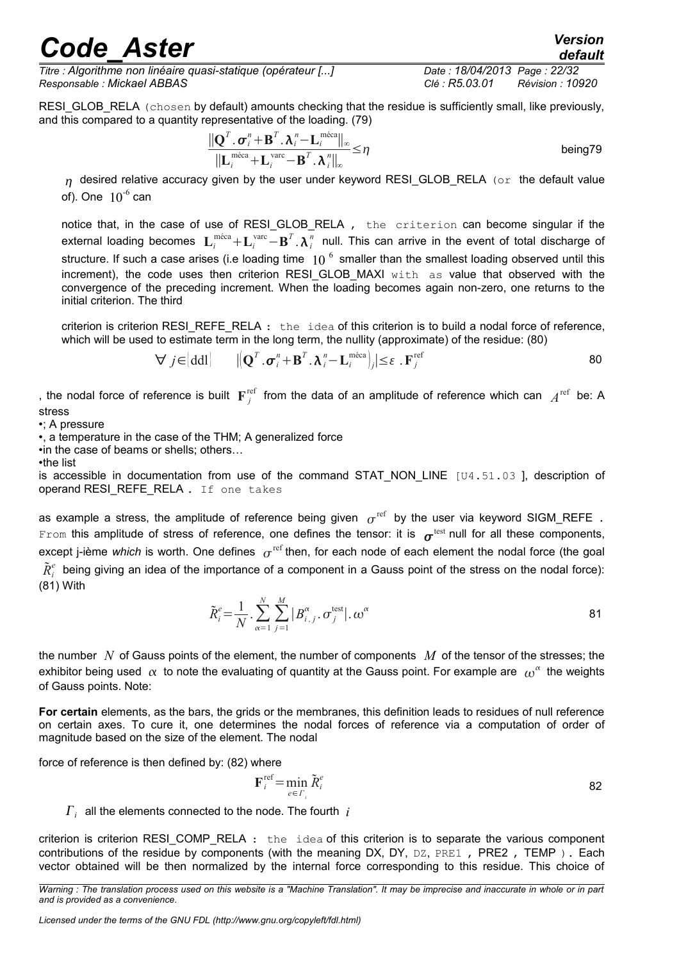*Titre : Algorithme non linéaire quasi-statique (opérateur [...] Date : 18/04/2013 Page : 22/32 Responsable : Mickael ABBAS Clé : R5.03.01 Révision : 10920*

RESI\_GLOB\_RELA (chosen by default) amounts checking that the residue is sufficiently small, like previously, and this compared to a quantity representative of the loading. (79)

$$
\frac{\|\mathbf{Q}^T.\boldsymbol{\sigma}_i^n + \mathbf{B}^T.\boldsymbol{\lambda}_i^n - \mathbf{L}_i^{\text{méca}}\|_{\infty}}{\|\mathbf{L}_i^{\text{méca}} + \mathbf{L}_i^{\text{varc}} - \mathbf{B}^T.\boldsymbol{\lambda}_i^n\|_{\infty}} \leq \eta
$$
 being79

 $\eta$  desired relative accuracy given by the user under keyword RESI GLOB RELA (or the default value of). One  $10^{-6}$  can

notice that, in the case of use of RESI\_GLOB\_RELA , the criterion can become singular if the external loading becomes  $\mathbf{L}_i^{\text{meca}}+\mathbf{L}_i^{\text{varc}}-\mathbf{B}^T$ .  $\bm{\lambda}_i^n$  null. This can arrive in the event of total discharge of structure. If such a case arises (i.e loading time  $~10~^6~$  smaller than the smallest loading observed until this increment), the code uses then criterion RESI GLOB MAXI with as value that observed with the convergence of the preceding increment. When the loading becomes again non-zero, one returns to the initial criterion. The third

criterion is criterion RESI\_REFE\_RELA : the idea of this criterion is to build a nodal force of reference, which will be used to estimate term in the long term, the nullity (approximate) of the residue: (80)

$$
\forall j \in [\text{ddl}] \qquad |(\mathbf{Q}^T \cdot \boldsymbol{\sigma}_i^n + \mathbf{B}^T \cdot \boldsymbol{\lambda}_i^n - \mathbf{L}_i^{\text{meca}})_j| \leq \varepsilon \cdot \mathbf{F}_j^{\text{ref}}
$$

, the nodal force of reference is built  $\mathbf{F}_j^{\text{ref}}$  from the data of an amplitude of reference which can  $A^{\text{ref}}$  be: A stress

•; A pressure

•, a temperature in the case of the THM; A generalized force

•in the case of beams or shells; others…

•the list

is accessible in documentation from use of the command STAT NON LINE  $[U4.51.03]$ , description of operand RESI\_REFE\_RELA . If one takes

as example a stress, the amplitude of reference being given  $\sigma^{\rm ref}$  by the user via keyword SIGM\_REFE. From this amplitude of stress of reference, one defines the tensor: it is  $\sigma^\text{test}$  null for all these components, except j-ième which is worth. One defines  $\sigma^{\rm ref}$ then, for each node of each element the nodal force (the goal

 $\tilde{R}^{\epsilon}_{i}$ *e* being giving an idea of the importance of a component in a Gauss point of the stress on the nodal force): (81) With

$$
\tilde{R}_{i}^{e} = \frac{1}{N} \cdot \sum_{\alpha=1}^{N} \sum_{j=1}^{M} |B_{i,j}^{\alpha} \cdot \sigma_{j}^{\text{test}}| \cdot \omega^{\alpha}
$$

the number *N* of Gauss points of the element, the number of components *M* of the tensor of the stresses; the exhibitor being used  $\,\alpha\,$  to note the evaluating of quantity at the Gauss point. For example are  $\,\omega^\alpha\,$  the weights of Gauss points. Note:

**For certain** elements, as the bars, the grids or the membranes, this definition leads to residues of null reference on certain axes. To cure it, one determines the nodal forces of reference via a computation of order of magnitude based on the size of the element. The nodal

force of reference is then defined by: (82) where

$$
\mathbf{F}_i^{\text{ref}} = \min_{e \in \Gamma_i} \tilde{R}_i^e
$$

 $\overline{I}_i$  all the elements connected to the node. The fourth  $|i\rangle$ 

criterion is criterion RESI COMP\_RELA : the idea of this criterion is to separate the various component contributions of the residue by components (with the meaning DX, DY, DZ, PRE1, PRE2, TEMP). Each vector obtained will be then normalized by the internal force corresponding to this residue. This choice of

*Licensed under the terms of the GNU FDL (http://www.gnu.org/copyleft/fdl.html)*

82

*Warning : The translation process used on this website is a "Machine Translation". It may be imprecise and inaccurate in whole or in part and is provided as a convenience.*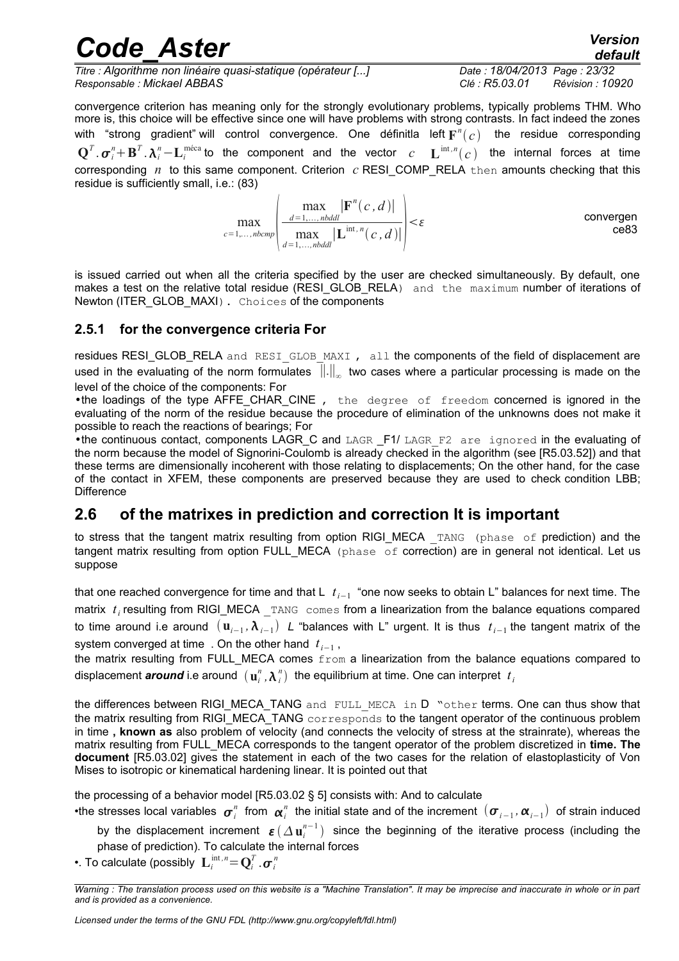*Titre : Algorithme non linéaire quasi-statique (opérateur [...] Date : 18/04/2013 Page : 23/32 Responsable : Mickael ABBAS Clé : R5.03.01 Révision : 10920*

convergence criterion has meaning only for the strongly evolutionary problems, typically problems THM. Who more is, this choice will be effective since one will have problems with strong contrasts. In fact indeed the zones with "strong gradient" will control convergence. One définitla left $\mathbf{F}^n(c)$  the residue corresponding  $Q^T$ .  $\sigma_i^n + B^T$ .  $\lambda_i^n - L_i^{\text{m\'eca}}$  to the component and the vector  $c$   $\text{L}^{\text{int},n}(c)$  the internal forces at time corresponding  $n$  to this same component. Criterion  $c$  RESI COMP RELA then amounts checking that this residue is sufficiently small, i.e.: (83)

$$
\max_{c=1,\ldots,\text{nbcmp}}\left|\frac{\max\limits_{d=1,\ldots,\text{nbddl}}|F^n(c,d)|}{\max\limits_{d=1,\ldots,\text{nbddl}}|L^{\text{int},n}(c,d)|}\right| < \varepsilon
$$
convergen c83

is issued carried out when all the criteria specified by the user are checked simultaneously. By default, one makes a test on the relative total residue (RESI GLOB RELA) and the maximum number of iterations of Newton (ITER\_GLOB\_MAXI). Choices of the components

#### <span id="page-22-1"></span>**2.5.1 for the convergence criteria For**

residues RESI\_GLOB\_RELA and RESI GLOB MAXI , all the components of the field of displacement are used in the evaluating of the norm formulates  $\|\cdot\|_{\infty}$  two cases where a particular processing is made on the level of the choice of the components: For

•the loadings of the type AFFE CHAR CINE, the degree of freedom concerned is ignored in the evaluating of the norm of the residue because the procedure of elimination of the unknowns does not make it possible to reach the reactions of bearings; For

•the continuous contact, components LAGR\_C and LAGR \_F1/ LAGR\_F2 are ignored in the evaluating of the norm because the model of Signorini-Coulomb is already checked in the algorithm (see [R5.03.52]) and that these terms are dimensionally incoherent with those relating to displacements; On the other hand, for the case of the contact in XFEM, these components are preserved because they are used to check condition LBB; **Difference** 

### <span id="page-22-0"></span>**2.6 of the matrixes in prediction and correction It is important**

to stress that the tangent matrix resulting from option RIGI\_MECA \_TANG (phase of prediction) and the tangent matrix resulting from option FULL\_MECA (phase of correction) are in general not identical. Let us suppose

that one reached convergence for time and that L *t*<sub>*i*−1</sub> "one now seeks to obtain L" balances for next time. The matrix *t<sub>i</sub>* resulting from RIGI\_MECA \_TANG comes from a linearization from the balance equations compared to time around i.e around  $(\bf{u}_{i-1}, \bf{\lambda}_{i-1})$  *L* "balances with L" urgent. It is thus  $t_{i-1}$  the tangent matrix of the system converged at time . On the other hand *t*<sub>*i*−1</sub>,

the matrix resulting from FULL\_MECA comes from a linearization from the balance equations compared to displacement *around* i.e around  $(\mathbf{u}_i^n, \boldsymbol{\lambda}_i^n)$  the equilibrium at time. One can interpret  $t_i$ 

the differences between RIGI\_MECA\_TANG and FULL MECA in D "other terms. One can thus show that the matrix resulting from RIGI\_MECA\_TANG corresponds to the tangent operator of the continuous problem in time **, known as** also problem of velocity (and connects the velocity of stress at the strainrate), whereas the matrix resulting from FULL\_MECA corresponds to the tangent operator of the problem discretized in **time. The document** [R5.03.02] gives the statement in each of the two cases for the relation of elastoplasticity of Von Mises to isotropic or kinematical hardening linear. It is pointed out that

the processing of a behavior model [R5.03.02 § 5] consists with: And to calculate

•the stresses local variables  $\sigma_i^n$  from  $\alpha_i^n$  the initial state and of the increment  $(\sigma_{i-1},\alpha_{i-1})$  of strain induced

by the displacement increment  $\bm{\varepsilon}(\Delta\mathbf{u}_i^{n-1})$  since the beginning of the iterative process (including the phase of prediction). To calculate the internal forces

•. To calculate (possibly  $\mathbf{L}_i^{\text{int},n} \!\!=\! \mathbf{Q}_i^T$  .  $\bm{\sigma}_i^n$ 



*Warning : The translation process used on this website is a "Machine Translation". It may be imprecise and inaccurate in whole or in part and is provided as a convenience.*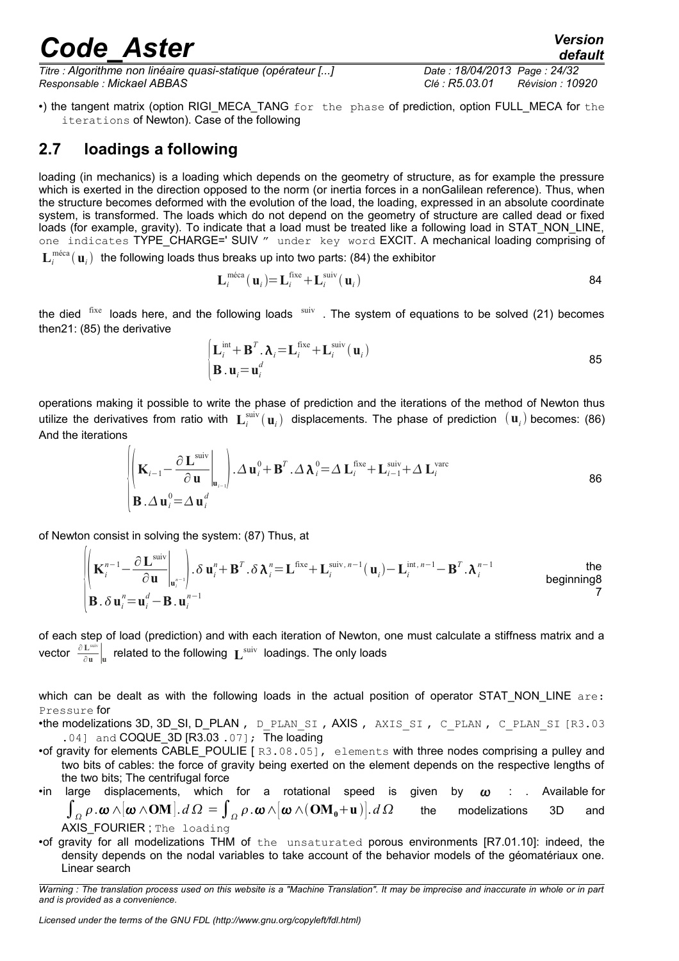*Titre : Algorithme non linéaire quasi-statique (opérateur [...] Date : 18/04/2013 Page : 24/32 Responsable : Mickael ABBAS Clé : R5.03.01 Révision : 10920*

•) the tangent matrix (option RIGI\_MECA\_TANG for the phase of prediction, option FULL\_MECA for the iterations of Newton). Case of the following

### <span id="page-23-0"></span>**2.7 loadings a following**

loading (in mechanics) is a loading which depends on the geometry of structure, as for example the pressure which is exerted in the direction opposed to the norm (or inertia forces in a nonGalilean reference). Thus, when the structure becomes deformed with the evolution of the load, the loading, expressed in an absolute coordinate system, is transformed. The loads which do not depend on the geometry of structure are called dead or fixed loads (for example, gravity). To indicate that a load must be treated like a following load in STAT\_NON\_LINE, one indicates TYPE\_CHARGE=' SUIV " under key word EXCIT. A mechanical loading comprising of  ${\bf L}_i^{\rm m\'eca}({\bf u}_i)$  the following loads thus breaks up into two parts: (84) the exhibitor

$$
\mathbf{L}_i^{\text{méca}}(\mathbf{u}_i) = \mathbf{L}_i^{\text{fixe}} + \mathbf{L}_i^{\text{suiv}}(\mathbf{u}_i)
$$
84

the died  $f_{\text{free}}$  loads here, and the following loads  $f_{\text{air}}$ . The system of equations to be solved (21) becomes the[n21:](#page-9-2) (85) the derivative

$$
\begin{cases}\n\mathbf{L}_i^{\text{int}} + \mathbf{B}^T \cdot \mathbf{\lambda}_i = \mathbf{L}_i^{\text{five}} + \mathbf{L}_i^{\text{suv}}(\mathbf{u}_i) \\
\mathbf{B} \cdot \mathbf{u}_i = \mathbf{u}_i^d\n\end{cases}
$$
 85

operations making it possible to write the phase of prediction and the iterations of the method of Newton thus utilize the derivatives from ratio with  $L_i^{siiv}(\bf{u}_i)$  displacements. The phase of prediction  $(\bf{u}_i)$  becomes: (86) And the iterations

$$
\left\| \left( \mathbf{K}_{i-1} - \frac{\partial \mathbf{L}^{\text{sniv}}}{\partial \mathbf{u}} \right)_{\mathbf{u}_{i-1}} \right\|_{\mathbf{u}_{i-1}} \Delta \mathbf{u}_i^0 + \mathbf{B}^T \cdot \Delta \lambda_i^0 = \Delta \mathbf{L}_i^{\text{fixed}} + \mathbf{L}_{i-1}^{\text{sniv}} + \Delta \mathbf{L}_i^{\text{var}} \tag{86}
$$

of Newton consist in solving the system: (87) Thus, at

$$
\begin{vmatrix}\n\mathbf{K}_{i}^{n-1} - \frac{\partial \mathbf{L}^{\text{sniv}}}{\partial \mathbf{u}}\bigg|_{\mathbf{u}_{i}^{n-1}}\n\end{vmatrix} \cdot \delta \mathbf{u}_{i}^{n} + \mathbf{B}^{T} \cdot \delta \lambda_{i}^{n} = \mathbf{L}^{\text{fixe}} + \mathbf{L}_{i}^{\text{sniv}, n-1}(\mathbf{u}_{i}) - \mathbf{L}_{i}^{\text{int}, n-1} - \mathbf{B}^{T} \cdot \lambda_{i}^{n-1}
$$
\n
$$
\mathbf{B} \cdot \delta \mathbf{u}_{i}^{n} = \mathbf{u}_{i}^{d} - \mathbf{B} \cdot \mathbf{u}_{i}^{n-1}
$$
\n
$$
\mathbf{B} \cdot \delta \mathbf{u}_{i}^{n} = \mathbf{B} \cdot \mathbf{u}_{i}^{n-1}
$$
\nThe

of each step of load (prediction) and with each iteration of Newton, one must calculate a stiffness matrix and a  $\text{vector } \frac{\partial \mathbf{L}^{\text{surv}}}{\partial \mathbf{u}}\Big|_{\mathbf{u}}$  related to the following  $\mathbf{L}^{\text{surv}}$  loadings. The only loads

which can be dealt as with the following loads in the actual position of operator STAT\_NON\_LINE  $are:$ Pressure for

•the modelizations 3D, 3D\_SI, D\_PLAN , D\_PLAN SI , AXIS , AXIS\_SI , C\_PLAN , C\_PLAN SI [R3.03  $.04$ ] and COQUE\_3D [R3.03 .07]; The loading

- •of gravity for elements CABLE\_POULIE [ R3.08.05], elements with three nodes comprising a pulley and two bits of cables: the force of gravity being exerted on the element depends on the respective lengths of the two bits; The centrifugal force
- •in large displacements, which for a rotational speed is given by  $\omega$  : . Available for  $\int_{\Omega} \rho \cdot \boldsymbol{\omega} \wedge [\boldsymbol{\omega} \wedge \mathbf{OM}] \cdot d\Omega = \int_{\Omega} \rho \cdot \boldsymbol{\omega} \wedge [\boldsymbol{\omega} \wedge (\mathbf{OM}_{0} + \mathbf{u})] \cdot d\Omega$  the modelizations 3D and AXIS FOURIER; The loading
- •of gravity for all modelizations THM of the unsaturated porous environments [R7.01.10]: indeed, the density depends on the nodal variables to take account of the behavior models of the géomatériaux one. Linear search

*Licensed under the terms of the GNU FDL (http://www.gnu.org/copyleft/fdl.html)*

*default*

*Warning : The translation process used on this website is a "Machine Translation". It may be imprecise and inaccurate in whole or in part and is provided as a convenience.*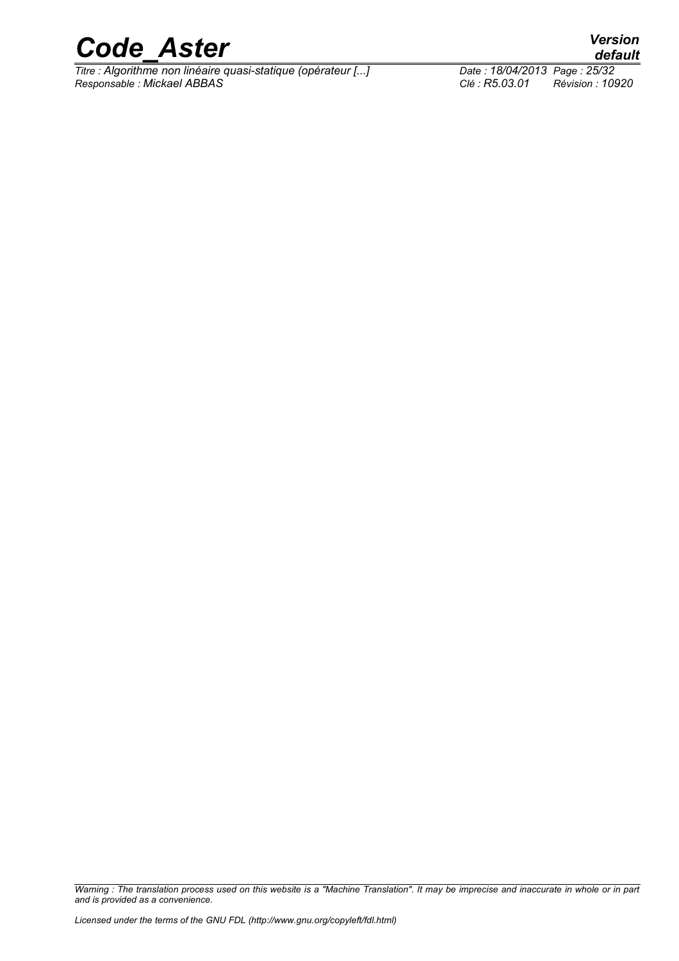

*Titre : Algorithme non linéaire quasi-statique (opérateur [...] Date : 18/04/2013 Page : 25/32 Responsable : Mickael ABBAS Clé : R5.03.01 Révision : 10920*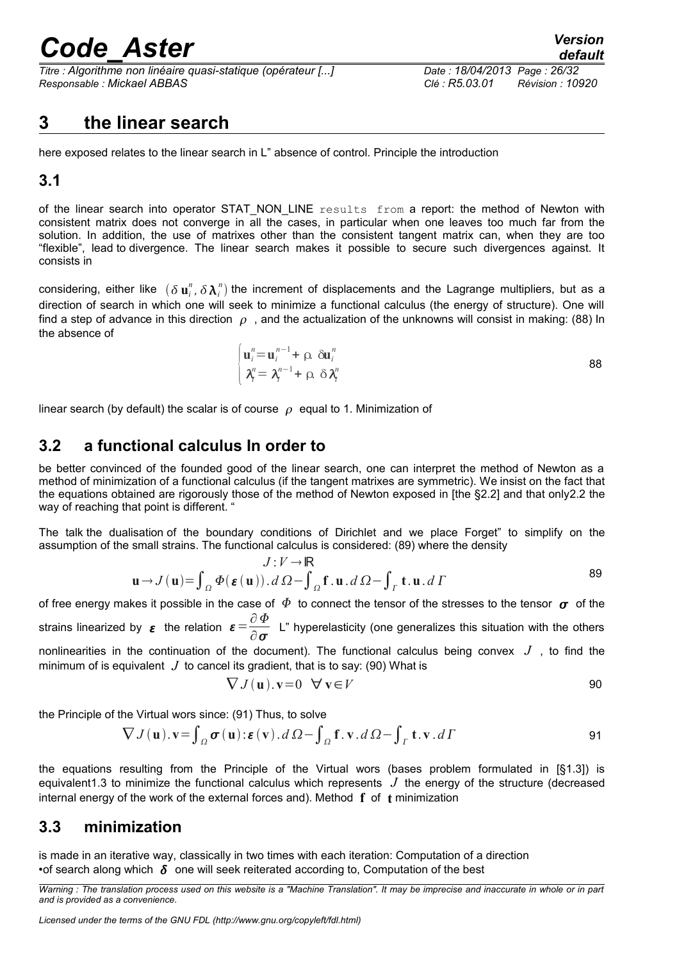*Titre : Algorithme non linéaire quasi-statique (opérateur [...] Date : 18/04/2013 Page : 26/32 Responsable : Mickael ABBAS Clé : R5.03.01 Révision : 10920*

# *default*

### <span id="page-25-3"></span>**3 the linear search**

here exposed relates to the linear search in L" absence of control. Principle the introduction

### <span id="page-25-2"></span>**3.1**

of the linear search into operator STAT\_NON\_LINE results from a report: the method of Newton with consistent matrix does not converge in all the cases, in particular when one leaves too much far from the solution. In addition, the use of matrixes other than the consistent tangent matrix can, when they are too "flexible", lead to divergence. The linear search makes it possible to secure such divergences against. It consists in

considering, either like  $(\delta\,\mathbf{u}_i^n,\delta\,\pmb{\lambda}_i^n)$  the increment of displacements and the Lagrange multipliers, but as a direction of search in which one will seek to minimize a functional calculus (the energy of structure). One will find a step of advance in this direction  $\rho$ , and the actualization of the unknowns will consist in making: (88) In the absence of

$$
\begin{cases}\n\mathbf{u}_i^n = \mathbf{u}_i^{n-1} + \rho \, \delta \mathbf{u}_i^n \\
\lambda_i^n = \lambda_i^{n-1} + \rho \, \delta \lambda_i^n\n\end{cases}
$$
\n88

linear search (by default) the scalar is of course  $\rho$  equal to 1. Minimization of

### <span id="page-25-1"></span>**3.2 a functional calculus In order to**

be better convinced of the founded good of the linear search, one can interpret the method of Newton as a method of minimization of a functional calculus (if the tangent matrixes are symmetric). We insist on the fact that the equations obtained are rigorously those of the method of Newton exposed in [the §2.2] and that onl[y2.2](#page-9-5) the way of reaching that point is different. "

The talk the dualisation of the boundary conditions of Dirichlet and we place Forget" to simplify on the assumption of the small strains. The functional calculus is considered: (89) where the density

$$
J: V \to \mathbb{R}
$$
  

$$
\mathbf{u} \to J(\mathbf{u}) = \int_{\Omega} \Phi(\boldsymbol{\varepsilon}(\mathbf{u})). d\Omega - \int_{\Omega} \mathbf{f} \cdot \mathbf{u} . d\Omega - \int_{\Gamma} \mathbf{t} \cdot \mathbf{u} . d\Gamma
$$

of free energy makes it possible in the case of  $\Phi$  to connect the tensor of the stresses to the tensor  $\sigma$  of the strains linearized by  $\varepsilon$  the relation  $\varepsilon = \frac{\partial \Phi}{\partial \tau}$  $\frac{\partial^2 \mathbf{r}}{\partial \mathbf{\sigma}}$  L" hyperelasticity (one generalizes this situation with the others nonlinearities in the continuation of the document). The functional calculus being convex *J* , to find the minimum of is equivalent *J* to cancel its gradient, that is to say: (90) What is

$$
\nabla J(\mathbf{u}).\mathbf{v} = 0 \quad \forall \mathbf{v} \in V
$$

the Principle of the Virtual wors since: (91) Thus, to solve

$$
\nabla J(\mathbf{u}).\mathbf{v} = \int_{\Omega} \boldsymbol{\sigma}(\mathbf{u}): \boldsymbol{\varepsilon}(\mathbf{v}).\,d\,\Omega - \int_{\Omega} \mathbf{f}.\,\mathbf{v}.\,d\,\Omega - \int_{\Gamma} \mathbf{t}.\,\mathbf{v}.\,d\,\Gamma
$$

the equations resulting from the Principle of the Virtual wors (bases problem formulated in [§1.3]) is equivalen[t1.3](#page-4-0) to minimize the functional calculus which represents *J* the energy of the structure (decreased internal energy of the work of the external forces and). Method **f** of **t** minimization

### <span id="page-25-0"></span>**3.3 minimization**

is made in an iterative way, classically in two times with each iteration: Computation of a direction •of search along which  $\delta$  one will seek reiterated according to, Computation of the best

*Licensed under the terms of the GNU FDL (http://www.gnu.org/copyleft/fdl.html)*

*Warning : The translation process used on this website is a "Machine Translation". It may be imprecise and inaccurate in whole or in part and is provided as a convenience.*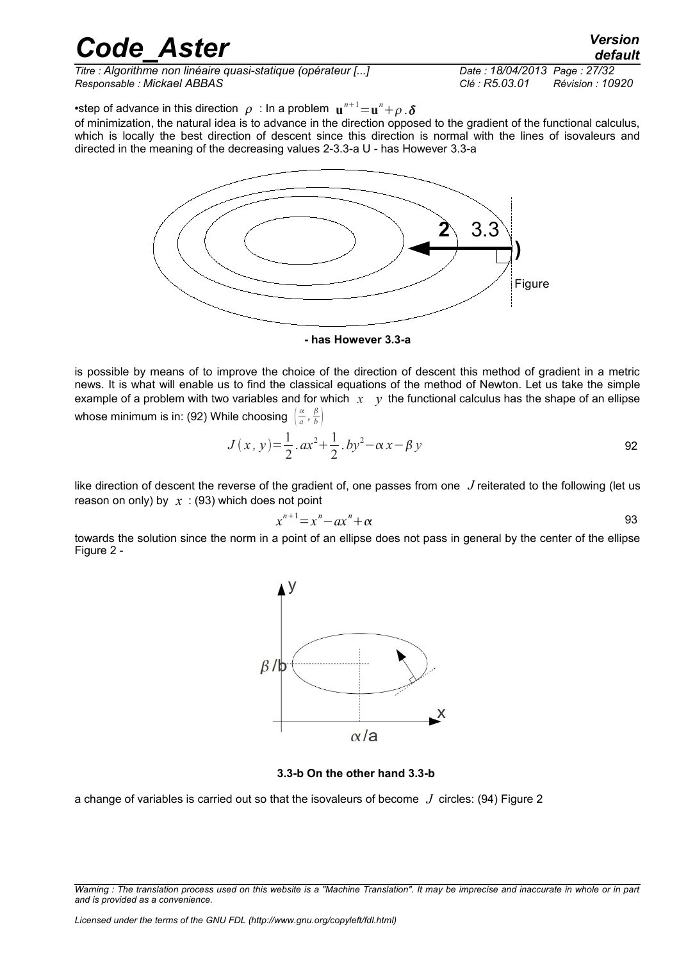*Titre : Algorithme non linéaire quasi-statique (opérateur [...] Date : 18/04/2013 Page : 27/32 Responsable : Mickael ABBAS Clé : R5.03.01 Révision : 10920*

•step of advance in this direction  $\rho$  : In a problem  $\mathbf{u}^{n+1}$ = $\mathbf{u}^{n}$ + $\rho$  .  $\boldsymbol{\delta}$ of minimization, the natural idea is to advance in the direction opposed to the gradient of the functional calculus, which is locally the best direction of descent since this direction is normal with the lines of isovaleurs and directed in the meaning of the decreasing values 2-3.3-a U [- has However 3.3-a](#page-26-0)



<span id="page-26-0"></span>**- has However 3.3-a**

is possible by means of to improve the choice of the direction of descent this method of gradient in a metric news. It is what will enable us to find the classical equations of the method of Newton. Let us take the simple example of a problem with two variables and for which  $x \, y$  the functional calculus has the shape of an ellipse whose minimum is in: (92) While choosing  $\alpha$ *a ,* β *b*

$$
J(x, y) = \frac{1}{2} . ax^{2} + \frac{1}{2} . by^{2} - \alpha x - \beta y
$$

like direction of descent the reverse of the gradient of, one passes from one *J* reiterated to the following (let us reason on only) by *x* : (93) which does not point

$$
x^{n+1} = x^n - ax^n + \alpha \tag{93}
$$

towards the solution since the norm in a point of an ellipse does not pass in general by the center of the ellipse Figure 2 -



**3.3-b On the other hand 3.3-b**

a change of variables is carried out so that the isovaleurs of become *J* circles: (94) Figure 2

*Warning : The translation process used on this website is a "Machine Translation". It may be imprecise and inaccurate in whole or in part and is provided as a convenience.*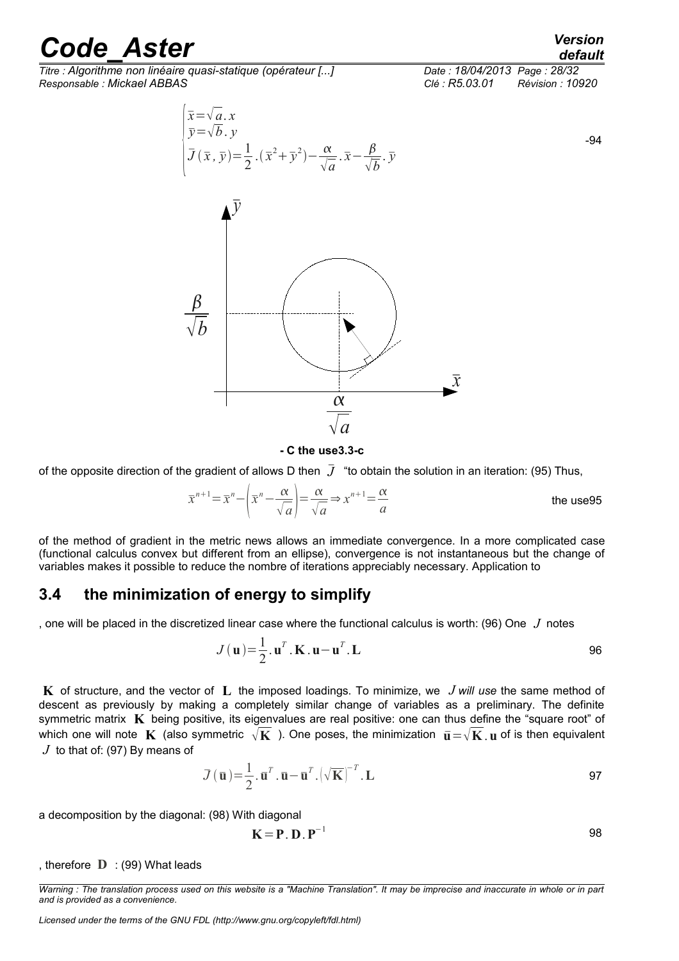*Titre : Algorithme non linéaire quasi-statique (opérateur [...] Date : 18/04/2013 Page : 28/32 Responsable : Mickael ABBAS Clé : R5.03.01 Révision : 10920*

*default*

-94



**- C the use3.3-c**

of the opposite direction of the gradient of allows D then *J* "to obtain the solution in an iteration: (95) Thus,

$$
\overline{x}^{n+1} = \overline{x}^n - \left(\overline{x}^n - \frac{\alpha}{\sqrt{a}}\right) = \frac{\alpha}{\sqrt{a}} \Rightarrow x^{n+1} = \frac{\alpha}{a}
$$
 the use95

of the method of gradient in the metric news allows an immediate convergence. In a more complicated case (functional calculus convex but different from an ellipse), convergence is not instantaneous but the change of variables makes it possible to reduce the nombre of iterations appreciably necessary. Application to

#### <span id="page-27-0"></span>**3.4 the minimization of energy to simplify**

, one will be placed in the discretized linear case where the functional calculus is worth: (96) One *J* notes

$$
J(\mathbf{u}) = \frac{1}{2} \cdot \mathbf{u}^T \cdot \mathbf{K} \cdot \mathbf{u} - \mathbf{u}^T \cdot \mathbf{L}
$$

**K** of structure, and the vector of **L** the imposed loadings. To minimize, we *J will use* the same method of descent as previously by making a completely similar change of variables as a preliminary. The definite symmetric matrix **K** being positive, its eigenvalues are real positive: one can thus define the "square root" of which one will note **K** (also symmetric  $\sqrt{K}$  ). One poses, the minimization  $\bar{u} = \sqrt{K}$  **u** of is then equivalent *J* to that of: (97) By means of

$$
\mathcal{J}(\mathbf{\bar{u}}) = \frac{1}{2} \cdot \mathbf{\bar{u}}^T \cdot \mathbf{\bar{u}} - \mathbf{\bar{u}}^T \cdot \left(\sqrt{\mathbf{K}}\right)^{-T} \cdot \mathbf{L}
$$

a decomposition by the diagonal: (98) With diagonal

$$
\mathbf{K} = \mathbf{P} \cdot \mathbf{D} \cdot \mathbf{P}^{-1} \tag{98}
$$

, therefore **D** : (99) What leads

*Warning : The translation process used on this website is a "Machine Translation". It may be imprecise and inaccurate in whole or in part and is provided as a convenience.*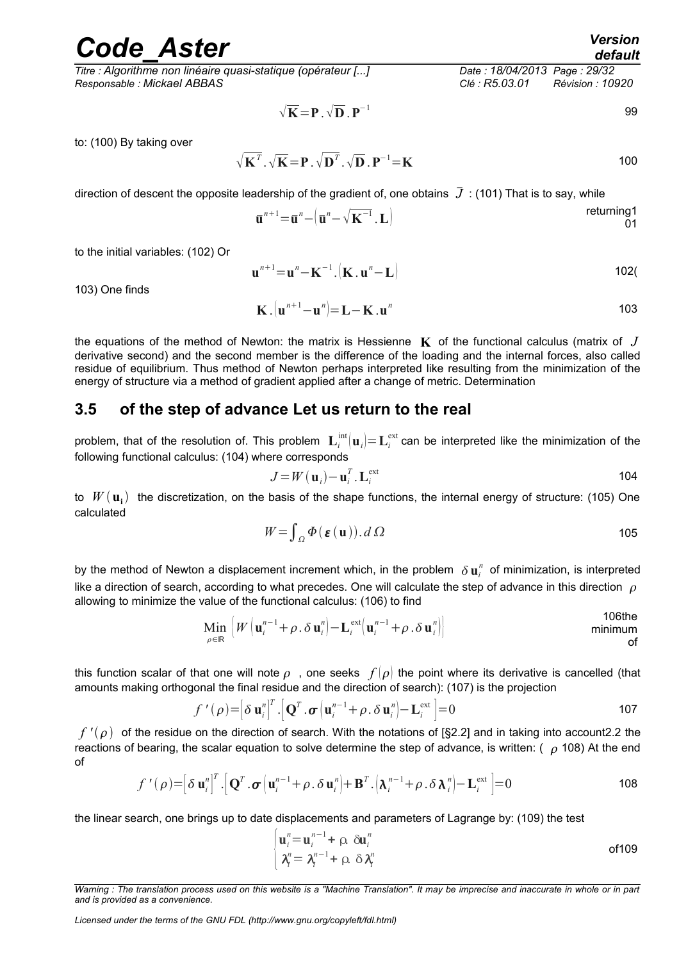*Titre : Algorithme non linéaire quasi-statique (opérateur [...] Date : 18/04/2013 Page : 29/32 Responsable : Mickael ABBAS Clé : R5.03.01 Révision : 10920*

$$
\sqrt{\mathbf{K}} = \mathbf{P} \cdot \sqrt{\mathbf{D}} \cdot \mathbf{P}^{-1}
$$

to: (100) By taking over

$$
\sqrt{\mathbf{K}^T} \cdot \sqrt{\mathbf{K}} = \mathbf{P} \cdot \sqrt{\mathbf{D}^T} \cdot \sqrt{\mathbf{D}} \cdot \mathbf{P}^{-1} = \mathbf{K}
$$

direction of descent the opposite leadership of the gradient of, one obtains  $\bar{J}$  : (101) That is to say, while

$$
\overline{\mathbf{u}}^{n+1} = \overline{\mathbf{u}}^n - \left(\overline{\mathbf{u}}^n - \sqrt{\mathbf{K}^{-1}} \cdot \mathbf{L}\right)
$$
 returning 1

to the initial variables: (102) Or

$$
\mathbf{u}^{n+1} = \mathbf{u}^n - \mathbf{K}^{-1}.\left(\mathbf{K}.\mathbf{u}^n - \mathbf{L}\right) \tag{102}
$$

103) One finds

$$
\mathbf{K} \cdot \left( \mathbf{u}^{n+1} - \mathbf{u}^n \right) = \mathbf{L} - \mathbf{K} \cdot \mathbf{u}^n
$$

the equations of the method of Newton: the matrix is Hessienne **K** of the functional calculus (matrix of *J* derivative second) and the second member is the difference of the loading and the internal forces, also called residue of equilibrium. Thus method of Newton perhaps interpreted like resulting from the minimization of the energy of structure via a method of gradient applied after a change of metric. Determination

### <span id="page-28-0"></span>**3.5 of the step of advance Let us return to the real**

problem, that of the resolution of. This problem  $L_i^{\text{int}}(u_i)=L_i^{\text{ext}}$  can be interpreted like the minimization of the following functional calculus: (104) where corresponds

$$
J = W(\mathbf{u}_i) - \mathbf{u}_i^T \cdot \mathbf{L}_i^{\text{ext}}
$$

to  $W\left({\bf u_i}\right)$  the discretization, on the basis of the shape functions, the internal energy of structure: (105) One calculated

$$
W = \int_{\Omega} \Phi(\boldsymbol{\varepsilon}(\mathbf{u})). \, d\Omega \tag{105}
$$

by the method of Newton a displacement increment which, in the problem  $\delta\mathbf{u}_i^n$  of minimization, is interpreted like a direction of search, according to what precedes. One will calculate the step of advance in this direction  $\rho$ allowing to minimize the value of the functional calculus: (106) to find

$$
\underset{\rho \in \mathbb{R}}{\text{Min}} \left\{ W \left( \mathbf{u}_{i}^{n-1} + \rho \cdot \delta \mathbf{u}_{i}^{n} \right) - \mathbf{L}_{i}^{\text{ext}} \left( \mathbf{u}_{i}^{n-1} + \rho \cdot \delta \mathbf{u}_{i}^{n} \right) \right\}
$$

this function scalar of that one will note  $\rho$ , one seeks  $f(\rho)$  the point where its derivative is cancelled (that amounts making orthogonal the final residue and the direction of search): (107) is the projection

$$
f'(\rho) = \left[\delta \mathbf{u}_i^n\right]^T \cdot \left[\mathbf{Q}^T \cdot \boldsymbol{\sigma} \left(\mathbf{u}_i^{n-1} + \rho \cdot \delta \mathbf{u}_i^n\right) - \mathbf{L}_i^{\text{ext}}\right] = 0
$$

 $f'(\rho)$  of the residue on the direction of search. With the notations of [§2.2] and in taking into accoun[t2.2](#page-7-0) the reactions of bearing, the scalar equation to solve determine the step of advance, is written:  $( \rho 108)$  At the end of

$$
f'(\rho) = \left[\delta \mathbf{u}_i^n\right]^T \cdot \left[\mathbf{Q}^T \cdot \boldsymbol{\sigma} \left(\mathbf{u}_i^{n-1} + \rho \cdot \delta \mathbf{u}_i^n\right) + \mathbf{B}^T \cdot \left(\boldsymbol{\lambda}_i^{n-1} + \rho \cdot \delta \boldsymbol{\lambda}_i^n\right) - \mathbf{L}_i^{\text{ext}}\right] = 0
$$

the linear search, one brings up to date displacements and parameters of Lagrange by: (109) the test

<span id="page-28-1"></span>
$$
\begin{cases}\n\mathbf{u}_i^n = \mathbf{u}_i^{n-1} + \rho \, \delta \mathbf{u}_i^n \\
\lambda_i^n = \lambda_i^{n-1} + \rho \, \delta \lambda_i^n\n\end{cases}
$$
 of 109

*Licensed under the terms of the GNU FDL (http://www.gnu.org/copyleft/fdl.html)*

99

*Warning : The translation process used on this website is a "Machine Translation". It may be imprecise and inaccurate in whole or in part and is provided as a convenience.*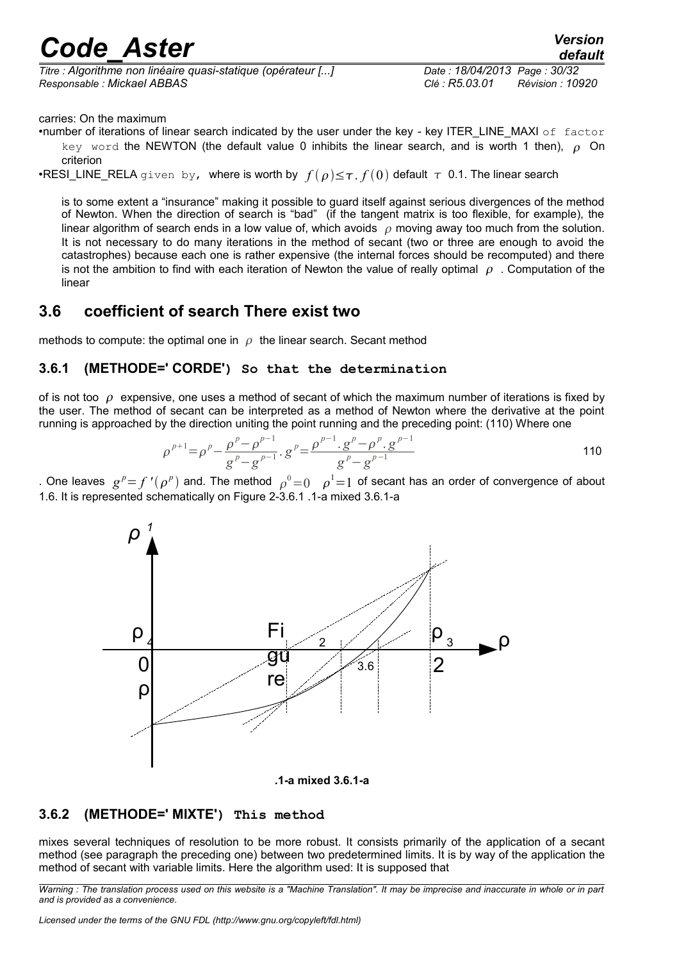*Titre : Algorithme non linéaire quasi-statique (opérateur [...] Date : 18/04/2013 Page : 30/32 Responsable : Mickael ABBAS Clé : R5.03.01 Révision : 10920*

carries: On the maximum

•number of iterations of linear search indicated by the user under the key - key ITER\_LINE\_MAXI of factor key word the NEWTON (the default value 0 inhibits the linear search, and is worth 1 then),  $\rho$  On criterion

•RESI\_LINE\_RELA given by, where is worth by  $f(\rho) \leq \tau$ .  $f(0)$  default  $\tau$  0.1. The linear search

is to some extent a "insurance" making it possible to guard itself against serious divergences of the method of Newton. When the direction of search is "bad" (if the tangent matrix is too flexible, for example), the linear algorithm of search ends in a low value of, which avoids  $\rho$  moving away too much from the solution. It is not necessary to do many iterations in the method of secant (two or three are enough to avoid the catastrophes) because each one is rather expensive (the internal forces should be recomputed) and there is not the ambition to find with each iteration of Newton the value of really optimal  $\rho$ . Computation of the linear

### <span id="page-29-2"></span>**3.6 coefficient of search There exist two**

methods to compute: the optimal one in  $\rho$  the linear search. Secant method

#### <span id="page-29-1"></span>**3.6.1 (METHODE=' CORDE') So that the determination**

of is not too  $\rho$  expensive, one uses a method of secant of which the maximum number of iterations is fixed by the user. The method of secant can be interpreted as a method of Newton where the derivative at the point running is approached by the direction uniting the point running and the preceding point: (110) Where one

$$
\rho^{p+1} = \rho^p - \frac{\rho^p - \rho^{p-1}}{g^p - g^{p-1}} \cdot g^p = \frac{\rho^{p-1} \cdot g^p - \rho^p \cdot g^{p-1}}{g^p - g^{p-1}}
$$
\n<sup>110</sup>

. One leaves  $g^p = f'(\rho^p)$  and. The method  $\rho^0 = 0$   $\rho^1 = 1$  of secant has an order of convergence of about 1.6. It is represented schematically on Figure 2-3.6.1 [.1-a mixed 3.6.1-a](#page-29-3)



<span id="page-29-3"></span>**.1-a mixed 3.6.1-a**

#### <span id="page-29-0"></span>**3.6.2 (METHODE=' MIXTE') This method**

mixes several techniques of resolution to be more robust. It consists primarily of the application of a secant method (see paragraph the preceding one) between two predetermined limits. It is by way of the application the method of secant with variable limits. Here the algorithm used: It is supposed that

*Warning : The translation process used on this website is a "Machine Translation". It may be imprecise and inaccurate in whole or in part and is provided as a convenience.*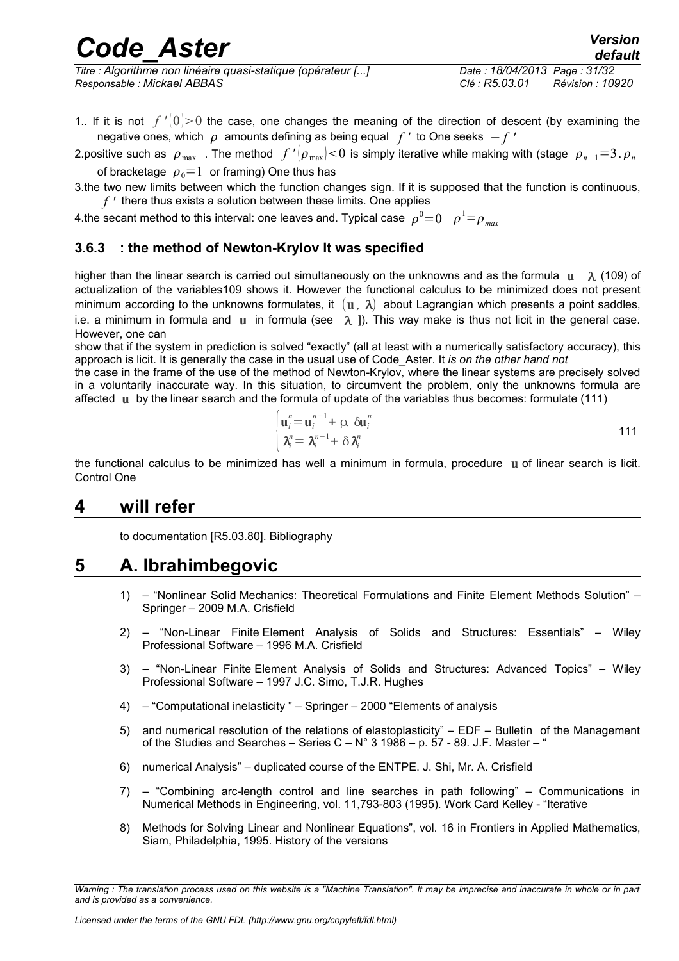*Titre : Algorithme non linéaire quasi-statique (opérateur [...] Date : 18/04/2013 Page : 31/32 Responsable : Mickael ABBAS Clé : R5.03.01 Révision : 10920*

*default*

1.. If it is not  $f'(0) > 0$  the case, one changes the meaning of the direction of descent (by examining the negative ones, which  $\rho$  amounts defining as being equal *f* ' to One seeks  $-f'$ 

2.positive such as  $\rho_{\text{max}}$ . The method  $f'|\rho_{\text{max}}|<0$  is simply iterative while making with (stage  $\rho_{n+1}=3$ .  $\rho_n$ of bracketage  $\rho_0=1$  or framing) One thus has

3.the two new limits between which the function changes sign. If it is supposed that the function is continuous, *f '* there thus exists a solution between these limits. One applies

4.the secant method to this interval: one leaves and. Typical case  $\ \rho^0\!\!=\!\!0\quad \rho^1\!\!=\!\!\rho_{\rm\scriptscriptstyle max}$ 

#### <span id="page-30-0"></span>**3.6.3 : the method of Newton-Krylov It was specified**

higher than the linear search is carried out simultaneously on the unknowns and as the formula **u** λ (109) of actualization of the variable[s109](#page-28-1) shows it. However the functional calculus to be minimized does not present minimum according to the unknowns formulates, it  $(\mathbf{u}, \lambda)$  about Lagrangian which presents a point saddles, i.e. a minimum in formula and **u** in formula (see  $\lambda$  )). This way make is thus not licit in the general case. However, one can

show that if the system in prediction is solved "exactly" (all at least with a numerically satisfactory accuracy), this approach is licit. It is generally the case in the usual use of Code\_Aster. It *is on the other hand not*

the case in the frame of the use of the method of Newton-Krylov, where the linear systems are precisely solved in a voluntarily inaccurate way. In this situation, to circumvent the problem, only the unknowns formula are affected **u** by the linear search and the formula of update of the variables thus becomes: formulate (111)

$$
\begin{cases}\n\mathbf{u}_i^n = \mathbf{u}_i^{n-1} + \rho \, \delta \mathbf{u}_i^n \\
\lambda_i^n = \lambda_i^{n-1} + \delta \lambda_i^n\n\end{cases}
$$

the functional calculus to be minimized has well a minimum in formula, procedure **u** of linear search is licit. Control One

### **4 will refer**

<span id="page-30-2"></span><span id="page-30-1"></span>to documentation [R5.03.80]. Bibliography

### **5 A. Ibrahimbegovic**

- 1) "Nonlinear Solid Mechanics: Theoretical Formulations and Finite Element Methods Solution" Springer – 2009 M.A. Crisfield
- 2) "Non-Linear Finite Element Analysis of Solids and Structures: Essentials" Wiley Professional Software – 1996 M.A. Crisfield
- 3) "Non-Linear Finite Element Analysis of Solids and Structures: Advanced Topics" Wiley Professional Software – 1997 J.C. Simo, T.J.R. Hughes
- 4) "Computational inelasticity " Springer 2000 "Elements of analysis
- 5) and numerical resolution of the relations of elastoplasticity" EDF Bulletin of the Management of the Studies and Searches – Series  $C - N^{\circ}$  3 1986 – p. 57 - 89. J.F. Master – "
- 6) numerical Analysis" duplicated course of the ENTPE. J. Shi, Mr. A. Crisfield
- 7) "Combining arc-length control and line searches in path following" Communications in Numerical Methods in Engineering, vol. 11,793-803 (1995). Work Card Kelley - "Iterative
- <span id="page-30-3"></span>8) Methods for Solving Linear and Nonlinear Equations", vol. 16 in Frontiers in Applied Mathematics, Siam, Philadelphia, 1995. History of the versions

*Warning : The translation process used on this website is a "Machine Translation". It may be imprecise and inaccurate in whole or in part and is provided as a convenience.*